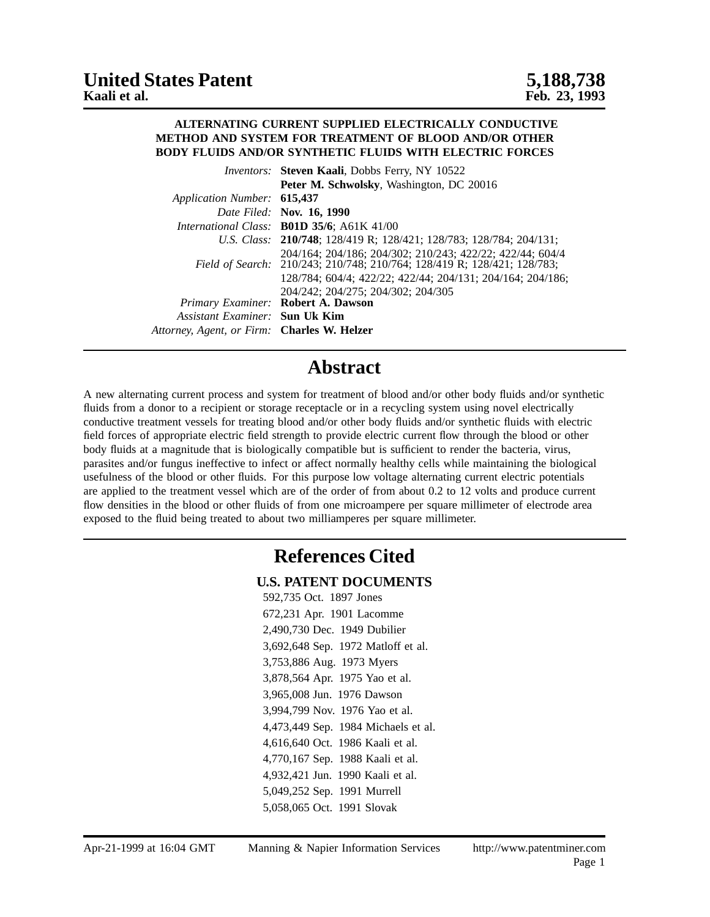#### **ALTERNATING CURRENT SUPPLIED ELECTRICALLY CONDUCTIVE METHOD AND SYSTEM FOR TREATMENT OF BLOOD AND/OR OTHER BODY FLUIDS AND/OR SYNTHETIC FLUIDS WITH ELECTRIC FORCES**

|                                             | Inventors: Steven Kaali, Dobbs Ferry, NY 10522                                                                                        |
|---------------------------------------------|---------------------------------------------------------------------------------------------------------------------------------------|
|                                             | Peter M. Schwolsky, Washington, DC 20016                                                                                              |
| Application Number: 615,437                 |                                                                                                                                       |
|                                             | Date Filed: Nov. 16, 1990                                                                                                             |
|                                             | International Class: <b>B01D 35/6</b> ; A61K 41/00                                                                                    |
|                                             | U.S. Class: 210/748; 128/419 R; 128/421; 128/783; 128/784; 204/131;                                                                   |
|                                             | 204/164; 204/186; 204/302; 210/243; 422/22; 422/44; 604/4<br>Field of Search: 210/243; 210/748; 210/764; 128/419 R; 128/421; 128/783; |
|                                             | 128/784; 604/4; 422/22; 422/44; 204/131; 204/164; 204/186;                                                                            |
|                                             | 204/242; 204/275; 204/302; 204/305                                                                                                    |
|                                             | Primary Examiner: Robert A. Dawson                                                                                                    |
| Assistant Examiner: Sun Uk Kim              |                                                                                                                                       |
| Attorney, Agent, or Firm: Charles W. Helzer |                                                                                                                                       |

## **Abstract**

A new alternating current process and system for treatment of blood and/or other body fluids and/or synthetic fluids from a donor to a recipient or storage receptacle or in a recycling system using novel electrically conductive treatment vessels for treating blood and/or other body fluids and/or synthetic fluids with electric field forces of appropriate electric field strength to provide electric current flow through the blood or other body fluids at a magnitude that is biologically compatible but is sufficient to render the bacteria, virus, parasites and/or fungus ineffective to infect or affect normally healthy cells while maintaining the biological usefulness of the blood or other fluids. For this purpose low voltage alternating current electric potentials are applied to the treatment vessel which are of the order of from about 0.2 to 12 volts and produce current flow densities in the blood or other fluids of from one microampere per square millimeter of electrode area exposed to the fluid being treated to about two milliamperes per square millimeter.

## **References Cited**

#### **U.S. PATENT DOCUMENTS**

| 592,735 Oct. 1897 Jones             |
|-------------------------------------|
| 672,231 Apr. 1901 Lacomme           |
| 2,490,730 Dec. 1949 Dubilier        |
| 3,692,648 Sep. 1972 Matloff et al.  |
| 3,753,886 Aug. 1973 Myers           |
| 3,878,564 Apr. 1975 Yao et al.      |
| 3,965,008 Jun. 1976 Dawson          |
| 3,994,799 Nov. 1976 Yao et al.      |
| 4,473,449 Sep. 1984 Michaels et al. |
| 4,616,640 Oct. 1986 Kaali et al.    |
| 4,770,167 Sep. 1988 Kaali et al.    |
| 4,932,421 Jun. 1990 Kaali et al.    |
| 5,049,252 Sep. 1991 Murrell         |
| 5,058,065 Oct. 1991 Slovak          |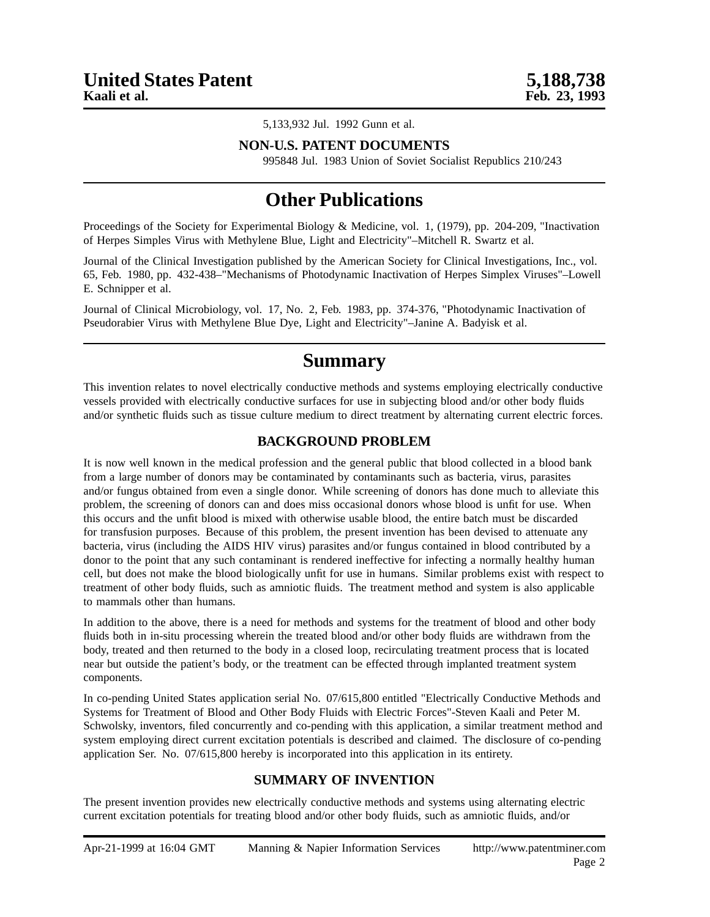5,133,932 Jul. 1992 Gunn et al.

### **NON-U.S. PATENT DOCUMENTS**

995848 Jul. 1983 Union of Soviet Socialist Republics 210/243

## **Other Publications**

Proceedings of the Society for Experimental Biology & Medicine, vol. 1, (1979), pp. 204-209, "Inactivation of Herpes Simples Virus with Methylene Blue, Light and Electricity"–Mitchell R. Swartz et al.

Journal of the Clinical Investigation published by the American Society for Clinical Investigations, Inc., vol. 65, Feb. 1980, pp. 432-438–"Mechanisms of Photodynamic Inactivation of Herpes Simplex Viruses"–Lowell E. Schnipper et al.

Journal of Clinical Microbiology, vol. 17, No. 2, Feb. 1983, pp. 374-376, "Photodynamic Inactivation of Pseudorabier Virus with Methylene Blue Dye, Light and Electricity"–Janine A. Badyisk et al.

### **Summary**

This invention relates to novel electrically conductive methods and systems employing electrically conductive vessels provided with electrically conductive surfaces for use in subjecting blood and/or other body fluids and/or synthetic fluids such as tissue culture medium to direct treatment by alternating current electric forces.

### **BACKGROUND PROBLEM**

It is now well known in the medical profession and the general public that blood collected in a blood bank from a large number of donors may be contaminated by contaminants such as bacteria, virus, parasites and/or fungus obtained from even a single donor. While screening of donors has done much to alleviate this problem, the screening of donors can and does miss occasional donors whose blood is unfit for use. When this occurs and the unfit blood is mixed with otherwise usable blood, the entire batch must be discarded for transfusion purposes. Because of this problem, the present invention has been devised to attenuate any bacteria, virus (including the AIDS HIV virus) parasites and/or fungus contained in blood contributed by a donor to the point that any such contaminant is rendered ineffective for infecting a normally healthy human cell, but does not make the blood biologically unfit for use in humans. Similar problems exist with respect to treatment of other body fluids, such as amniotic fluids. The treatment method and system is also applicable to mammals other than humans.

In addition to the above, there is a need for methods and systems for the treatment of blood and other body fluids both in in-situ processing wherein the treated blood and/or other body fluids are withdrawn from the body, treated and then returned to the body in a closed loop, recirculating treatment process that is located near but outside the patient's body, or the treatment can be effected through implanted treatment system components.

In co-pending United States application serial No. 07/615,800 entitled "Electrically Conductive Methods and Systems for Treatment of Blood and Other Body Fluids with Electric Forces"-Steven Kaali and Peter M. Schwolsky, inventors, filed concurrently and co-pending with this application, a similar treatment method and system employing direct current excitation potentials is described and claimed. The disclosure of co-pending application Ser. No. 07/615,800 hereby is incorporated into this application in its entirety.

### **SUMMARY OF INVENTION**

The present invention provides new electrically conductive methods and systems using alternating electric current excitation potentials for treating blood and/or other body fluids, such as amniotic fluids, and/or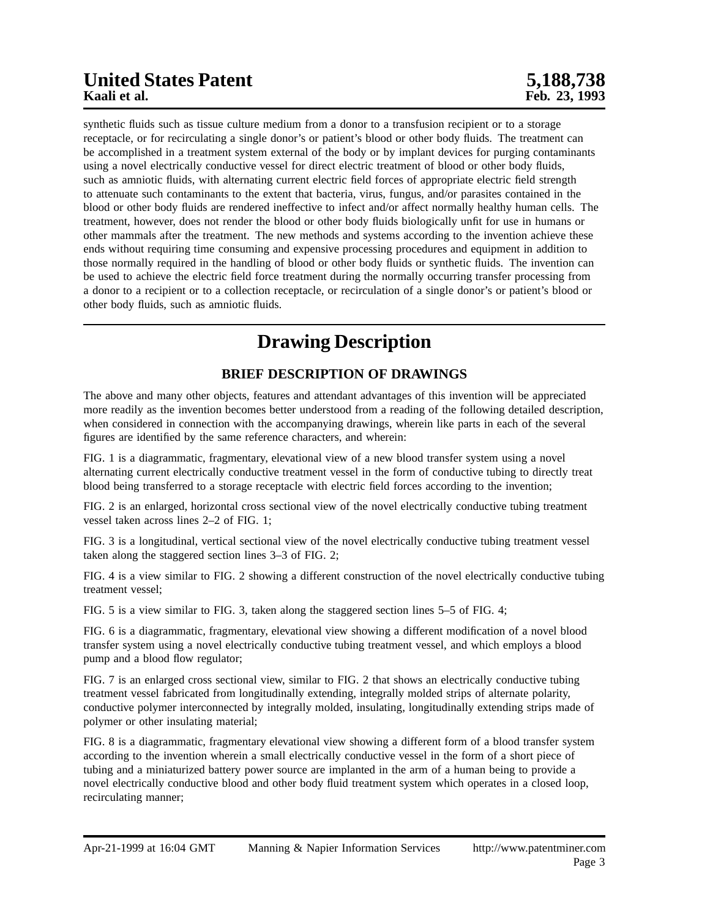# **United States Patent 5,188,738**

synthetic fluids such as tissue culture medium from a donor to a transfusion recipient or to a storage receptacle, or for recirculating a single donor's or patient's blood or other body fluids. The treatment can be accomplished in a treatment system external of the body or by implant devices for purging contaminants using a novel electrically conductive vessel for direct electric treatment of blood or other body fluids, such as amniotic fluids, with alternating current electric field forces of appropriate electric field strength to attenuate such contaminants to the extent that bacteria, virus, fungus, and/or parasites contained in the blood or other body fluids are rendered ineffective to infect and/or affect normally healthy human cells. The treatment, however, does not render the blood or other body fluids biologically unfit for use in humans or other mammals after the treatment. The new methods and systems according to the invention achieve these ends without requiring time consuming and expensive processing procedures and equipment in addition to those normally required in the handling of blood or other body fluids or synthetic fluids. The invention can be used to achieve the electric field force treatment during the normally occurring transfer processing from a donor to a recipient or to a collection receptacle, or recirculation of a single donor's or patient's blood or other body fluids, such as amniotic fluids.

## **Drawing Description**

### **BRIEF DESCRIPTION OF DRAWINGS**

The above and many other objects, features and attendant advantages of this invention will be appreciated more readily as the invention becomes better understood from a reading of the following detailed description, when considered in connection with the accompanying drawings, wherein like parts in each of the several figures are identified by the same reference characters, and wherein:

FIG. 1 is a diagrammatic, fragmentary, elevational view of a new blood transfer system using a novel alternating current electrically conductive treatment vessel in the form of conductive tubing to directly treat blood being transferred to a storage receptacle with electric field forces according to the invention;

FIG. 2 is an enlarged, horizontal cross sectional view of the novel electrically conductive tubing treatment vessel taken across lines 2–2 of FIG. 1;

FIG. 3 is a longitudinal, vertical sectional view of the novel electrically conductive tubing treatment vessel taken along the staggered section lines 3–3 of FIG. 2;

FIG. 4 is a view similar to FIG. 2 showing a different construction of the novel electrically conductive tubing treatment vessel;

FIG. 5 is a view similar to FIG. 3, taken along the staggered section lines 5–5 of FIG. 4;

FIG. 6 is a diagrammatic, fragmentary, elevational view showing a different modification of a novel blood transfer system using a novel electrically conductive tubing treatment vessel, and which employs a blood pump and a blood flow regulator;

FIG. 7 is an enlarged cross sectional view, similar to FIG. 2 that shows an electrically conductive tubing treatment vessel fabricated from longitudinally extending, integrally molded strips of alternate polarity, conductive polymer interconnected by integrally molded, insulating, longitudinally extending strips made of polymer or other insulating material;

FIG. 8 is a diagrammatic, fragmentary elevational view showing a different form of a blood transfer system according to the invention wherein a small electrically conductive vessel in the form of a short piece of tubing and a miniaturized battery power source are implanted in the arm of a human being to provide a novel electrically conductive blood and other body fluid treatment system which operates in a closed loop, recirculating manner;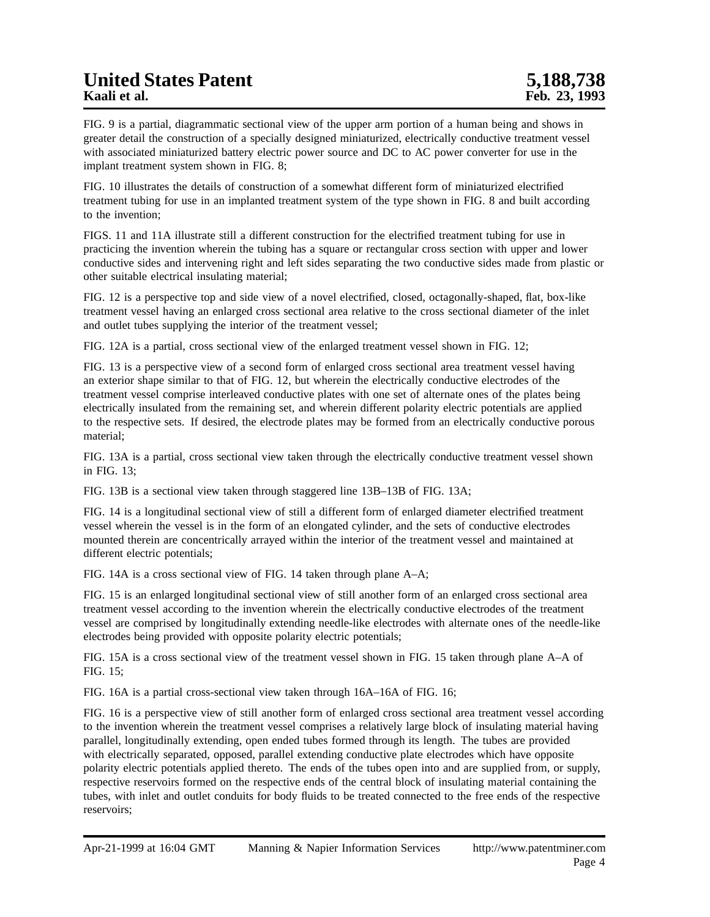FIG. 9 is a partial, diagrammatic sectional view of the upper arm portion of a human being and shows in greater detail the construction of a specially designed miniaturized, electrically conductive treatment vessel with associated miniaturized battery electric power source and DC to AC power converter for use in the implant treatment system shown in FIG. 8;

FIG. 10 illustrates the details of construction of a somewhat different form of miniaturized electrified treatment tubing for use in an implanted treatment system of the type shown in FIG. 8 and built according to the invention;

FIGS. 11 and 11A illustrate still a different construction for the electrified treatment tubing for use in practicing the invention wherein the tubing has a square or rectangular cross section with upper and lower conductive sides and intervening right and left sides separating the two conductive sides made from plastic or other suitable electrical insulating material;

FIG. 12 is a perspective top and side view of a novel electrified, closed, octagonally-shaped, flat, box-like treatment vessel having an enlarged cross sectional area relative to the cross sectional diameter of the inlet and outlet tubes supplying the interior of the treatment vessel;

FIG. 12A is a partial, cross sectional view of the enlarged treatment vessel shown in FIG. 12;

FIG. 13 is a perspective view of a second form of enlarged cross sectional area treatment vessel having an exterior shape similar to that of FIG. 12, but wherein the electrically conductive electrodes of the treatment vessel comprise interleaved conductive plates with one set of alternate ones of the plates being electrically insulated from the remaining set, and wherein different polarity electric potentials are applied to the respective sets. If desired, the electrode plates may be formed from an electrically conductive porous material;

FIG. 13A is a partial, cross sectional view taken through the electrically conductive treatment vessel shown in FIG. 13;

FIG. 13B is a sectional view taken through staggered line 13B–13B of FIG. 13A;

FIG. 14 is a longitudinal sectional view of still a different form of enlarged diameter electrified treatment vessel wherein the vessel is in the form of an elongated cylinder, and the sets of conductive electrodes mounted therein are concentrically arrayed within the interior of the treatment vessel and maintained at different electric potentials;

FIG. 14A is a cross sectional view of FIG. 14 taken through plane A–A;

FIG. 15 is an enlarged longitudinal sectional view of still another form of an enlarged cross sectional area treatment vessel according to the invention wherein the electrically conductive electrodes of the treatment vessel are comprised by longitudinally extending needle-like electrodes with alternate ones of the needle-like electrodes being provided with opposite polarity electric potentials;

FIG. 15A is a cross sectional view of the treatment vessel shown in FIG. 15 taken through plane A–A of FIG. 15;

FIG. 16A is a partial cross-sectional view taken through 16A–16A of FIG. 16;

FIG. 16 is a perspective view of still another form of enlarged cross sectional area treatment vessel according to the invention wherein the treatment vessel comprises a relatively large block of insulating material having parallel, longitudinally extending, open ended tubes formed through its length. The tubes are provided with electrically separated, opposed, parallel extending conductive plate electrodes which have opposite polarity electric potentials applied thereto. The ends of the tubes open into and are supplied from, or supply, respective reservoirs formed on the respective ends of the central block of insulating material containing the tubes, with inlet and outlet conduits for body fluids to be treated connected to the free ends of the respective reservoirs;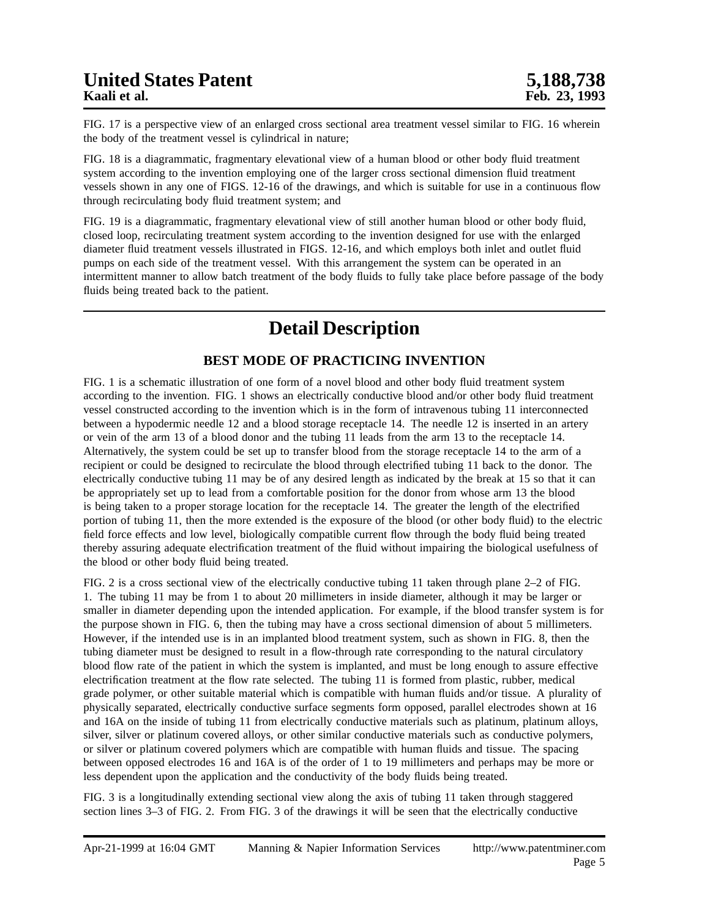FIG. 17 is a perspective view of an enlarged cross sectional area treatment vessel similar to FIG. 16 wherein the body of the treatment vessel is cylindrical in nature;

FIG. 18 is a diagrammatic, fragmentary elevational view of a human blood or other body fluid treatment system according to the invention employing one of the larger cross sectional dimension fluid treatment vessels shown in any one of FIGS. 12-16 of the drawings, and which is suitable for use in a continuous flow through recirculating body fluid treatment system; and

FIG. 19 is a diagrammatic, fragmentary elevational view of still another human blood or other body fluid, closed loop, recirculating treatment system according to the invention designed for use with the enlarged diameter fluid treatment vessels illustrated in FIGS. 12-16, and which employs both inlet and outlet fluid pumps on each side of the treatment vessel. With this arrangement the system can be operated in an intermittent manner to allow batch treatment of the body fluids to fully take place before passage of the body fluids being treated back to the patient.

## **Detail Description**

### **BEST MODE OF PRACTICING INVENTION**

FIG. 1 is a schematic illustration of one form of a novel blood and other body fluid treatment system according to the invention. FIG. 1 shows an electrically conductive blood and/or other body fluid treatment vessel constructed according to the invention which is in the form of intravenous tubing 11 interconnected between a hypodermic needle 12 and a blood storage receptacle 14. The needle 12 is inserted in an artery or vein of the arm 13 of a blood donor and the tubing 11 leads from the arm 13 to the receptacle 14. Alternatively, the system could be set up to transfer blood from the storage receptacle 14 to the arm of a recipient or could be designed to recirculate the blood through electrified tubing 11 back to the donor. The electrically conductive tubing 11 may be of any desired length as indicated by the break at 15 so that it can be appropriately set up to lead from a comfortable position for the donor from whose arm 13 the blood is being taken to a proper storage location for the receptacle 14. The greater the length of the electrified portion of tubing 11, then the more extended is the exposure of the blood (or other body fluid) to the electric field force effects and low level, biologically compatible current flow through the body fluid being treated thereby assuring adequate electrification treatment of the fluid without impairing the biological usefulness of the blood or other body fluid being treated.

FIG. 2 is a cross sectional view of the electrically conductive tubing 11 taken through plane 2–2 of FIG. 1. The tubing 11 may be from 1 to about 20 millimeters in inside diameter, although it may be larger or smaller in diameter depending upon the intended application. For example, if the blood transfer system is for the purpose shown in FIG. 6, then the tubing may have a cross sectional dimension of about 5 millimeters. However, if the intended use is in an implanted blood treatment system, such as shown in FIG. 8, then the tubing diameter must be designed to result in a flow-through rate corresponding to the natural circulatory blood flow rate of the patient in which the system is implanted, and must be long enough to assure effective electrification treatment at the flow rate selected. The tubing 11 is formed from plastic, rubber, medical grade polymer, or other suitable material which is compatible with human fluids and/or tissue. A plurality of physically separated, electrically conductive surface segments form opposed, parallel electrodes shown at 16 and 16A on the inside of tubing 11 from electrically conductive materials such as platinum, platinum alloys, silver, silver or platinum covered alloys, or other similar conductive materials such as conductive polymers, or silver or platinum covered polymers which are compatible with human fluids and tissue. The spacing between opposed electrodes 16 and 16A is of the order of 1 to 19 millimeters and perhaps may be more or less dependent upon the application and the conductivity of the body fluids being treated.

FIG. 3 is a longitudinally extending sectional view along the axis of tubing 11 taken through staggered section lines 3–3 of FIG. 2. From FIG. 3 of the drawings it will be seen that the electrically conductive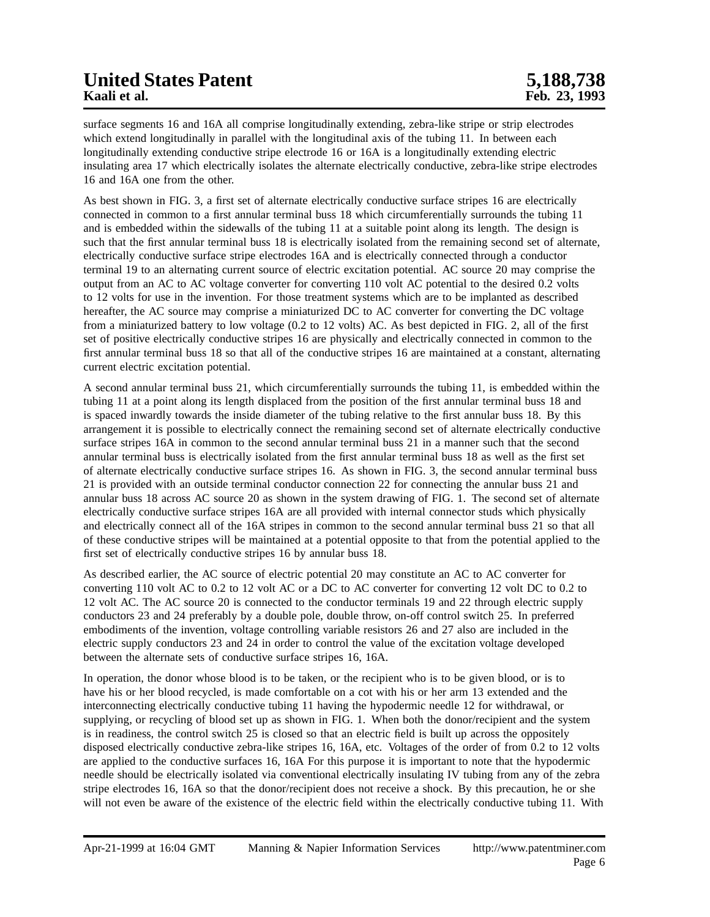# **United States Patent 5,188,738**<br> **Example 18 States Patent 5,188,738**<br>
Feb. 23, 1993

surface segments 16 and 16A all comprise longitudinally extending, zebra-like stripe or strip electrodes which extend longitudinally in parallel with the longitudinal axis of the tubing 11. In between each longitudinally extending conductive stripe electrode 16 or 16A is a longitudinally extending electric insulating area 17 which electrically isolates the alternate electrically conductive, zebra-like stripe electrodes 16 and 16A one from the other.

As best shown in FIG. 3, a first set of alternate electrically conductive surface stripes 16 are electrically connected in common to a first annular terminal buss 18 which circumferentially surrounds the tubing 11 and is embedded within the sidewalls of the tubing 11 at a suitable point along its length. The design is such that the first annular terminal buss 18 is electrically isolated from the remaining second set of alternate, electrically conductive surface stripe electrodes 16A and is electrically connected through a conductor terminal 19 to an alternating current source of electric excitation potential. AC source 20 may comprise the output from an AC to AC voltage converter for converting 110 volt AC potential to the desired 0.2 volts to 12 volts for use in the invention. For those treatment systems which are to be implanted as described hereafter, the AC source may comprise a miniaturized DC to AC converter for converting the DC voltage from a miniaturized battery to low voltage (0.2 to 12 volts) AC. As best depicted in FIG. 2, all of the first set of positive electrically conductive stripes 16 are physically and electrically connected in common to the first annular terminal buss 18 so that all of the conductive stripes 16 are maintained at a constant, alternating current electric excitation potential.

A second annular terminal buss 21, which circumferentially surrounds the tubing 11, is embedded within the tubing 11 at a point along its length displaced from the position of the first annular terminal buss 18 and is spaced inwardly towards the inside diameter of the tubing relative to the first annular buss 18. By this arrangement it is possible to electrically connect the remaining second set of alternate electrically conductive surface stripes 16A in common to the second annular terminal buss 21 in a manner such that the second annular terminal buss is electrically isolated from the first annular terminal buss 18 as well as the first set of alternate electrically conductive surface stripes 16. As shown in FIG. 3, the second annular terminal buss 21 is provided with an outside terminal conductor connection 22 for connecting the annular buss 21 and annular buss 18 across AC source 20 as shown in the system drawing of FIG. 1. The second set of alternate electrically conductive surface stripes 16A are all provided with internal connector studs which physically and electrically connect all of the 16A stripes in common to the second annular terminal buss 21 so that all of these conductive stripes will be maintained at a potential opposite to that from the potential applied to the first set of electrically conductive stripes 16 by annular buss 18.

As described earlier, the AC source of electric potential 20 may constitute an AC to AC converter for converting 110 volt AC to 0.2 to 12 volt AC or a DC to AC converter for converting 12 volt DC to 0.2 to 12 volt AC. The AC source 20 is connected to the conductor terminals 19 and 22 through electric supply conductors 23 and 24 preferably by a double pole, double throw, on-off control switch 25. In preferred embodiments of the invention, voltage controlling variable resistors 26 and 27 also are included in the electric supply conductors 23 and 24 in order to control the value of the excitation voltage developed between the alternate sets of conductive surface stripes 16, 16A.

In operation, the donor whose blood is to be taken, or the recipient who is to be given blood, or is to have his or her blood recycled, is made comfortable on a cot with his or her arm 13 extended and the interconnecting electrically conductive tubing 11 having the hypodermic needle 12 for withdrawal, or supplying, or recycling of blood set up as shown in FIG. 1. When both the donor/recipient and the system is in readiness, the control switch 25 is closed so that an electric field is built up across the oppositely disposed electrically conductive zebra-like stripes 16, 16A, etc. Voltages of the order of from 0.2 to 12 volts are applied to the conductive surfaces 16, 16A For this purpose it is important to note that the hypodermic needle should be electrically isolated via conventional electrically insulating IV tubing from any of the zebra stripe electrodes 16, 16A so that the donor/recipient does not receive a shock. By this precaution, he or she will not even be aware of the existence of the electric field within the electrically conductive tubing 11. With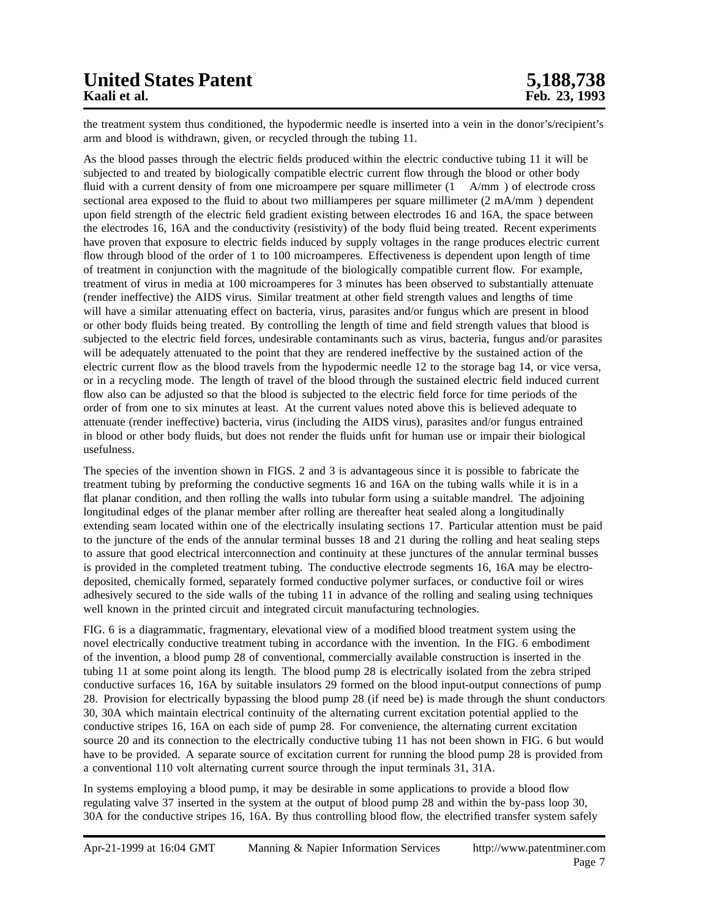the treatment system thus conditioned, the hypodermic needle is inserted into a vein in the donor's/recipient's arm and blood is withdrawn, given, or recycled through the tubing 11.

As the blood passes through the electric fields produced within the electric conductive tubing 11 it will be subjected to and treated by biologically compatible electric current flow through the blood or other body fluid with a current density of from one microampere per square millimeter (1 A/mm) of electrode cross sectional area exposed to the fluid to about two milliamperes per square millimeter (2 mA/mm) dependent upon field strength of the electric field gradient existing between electrodes 16 and 16A, the space between the electrodes 16, 16A and the conductivity (resistivity) of the body fluid being treated. Recent experiments have proven that exposure to electric fields induced by supply voltages in the range produces electric current flow through blood of the order of 1 to 100 microamperes. Effectiveness is dependent upon length of time of treatment in conjunction with the magnitude of the biologically compatible current flow. For example, treatment of virus in media at 100 microamperes for 3 minutes has been observed to substantially attenuate (render ineffective) the AIDS virus. Similar treatment at other field strength values and lengths of time will have a similar attenuating effect on bacteria, virus, parasites and/or fungus which are present in blood or other body fluids being treated. By controlling the length of time and field strength values that blood is subjected to the electric field forces, undesirable contaminants such as virus, bacteria, fungus and/or parasites will be adequately attenuated to the point that they are rendered ineffective by the sustained action of the electric current flow as the blood travels from the hypodermic needle 12 to the storage bag 14, or vice versa, or in a recycling mode. The length of travel of the blood through the sustained electric field induced current flow also can be adjusted so that the blood is subjected to the electric field force for time periods of the order of from one to six minutes at least. At the current values noted above this is believed adequate to attenuate (render ineffective) bacteria, virus (including the AIDS virus), parasites and/or fungus entrained in blood or other body fluids, but does not render the fluids unfit for human use or impair their biological usefulness.

The species of the invention shown in FIGS. 2 and 3 is advantageous since it is possible to fabricate the treatment tubing by preforming the conductive segments 16 and 16A on the tubing walls while it is in a flat planar condition, and then rolling the walls into tubular form using a suitable mandrel. The adjoining longitudinal edges of the planar member after rolling are thereafter heat sealed along a longitudinally extending seam located within one of the electrically insulating sections 17. Particular attention must be paid to the juncture of the ends of the annular terminal busses 18 and 21 during the rolling and heat sealing steps to assure that good electrical interconnection and continuity at these junctures of the annular terminal busses is provided in the completed treatment tubing. The conductive electrode segments 16, 16A may be electrodeposited, chemically formed, separately formed conductive polymer surfaces, or conductive foil or wires adhesively secured to the side walls of the tubing 11 in advance of the rolling and sealing using techniques well known in the printed circuit and integrated circuit manufacturing technologies.

FIG. 6 is a diagrammatic, fragmentary, elevational view of a modified blood treatment system using the novel electrically conductive treatment tubing in accordance with the invention. In the FIG. 6 embodiment of the invention, a blood pump 28 of conventional, commercially available construction is inserted in the tubing 11 at some point along its length. The blood pump 28 is electrically isolated from the zebra striped conductive surfaces 16, 16A by suitable insulators 29 formed on the blood input-output connections of pump 28. Provision for electrically bypassing the blood pump 28 (if need be) is made through the shunt conductors 30, 30A which maintain electrical continuity of the alternating current excitation potential applied to the conductive stripes 16, 16A on each side of pump 28. For convenience, the alternating current excitation source 20 and its connection to the electrically conductive tubing 11 has not been shown in FIG. 6 but would have to be provided. A separate source of excitation current for running the blood pump 28 is provided from a conventional 110 volt alternating current source through the input terminals 31, 31A.

In systems employing a blood pump, it may be desirable in some applications to provide a blood flow regulating valve 37 inserted in the system at the output of blood pump 28 and within the by-pass loop 30, 30A for the conductive stripes 16, 16A. By thus controlling blood flow, the electrified transfer system safely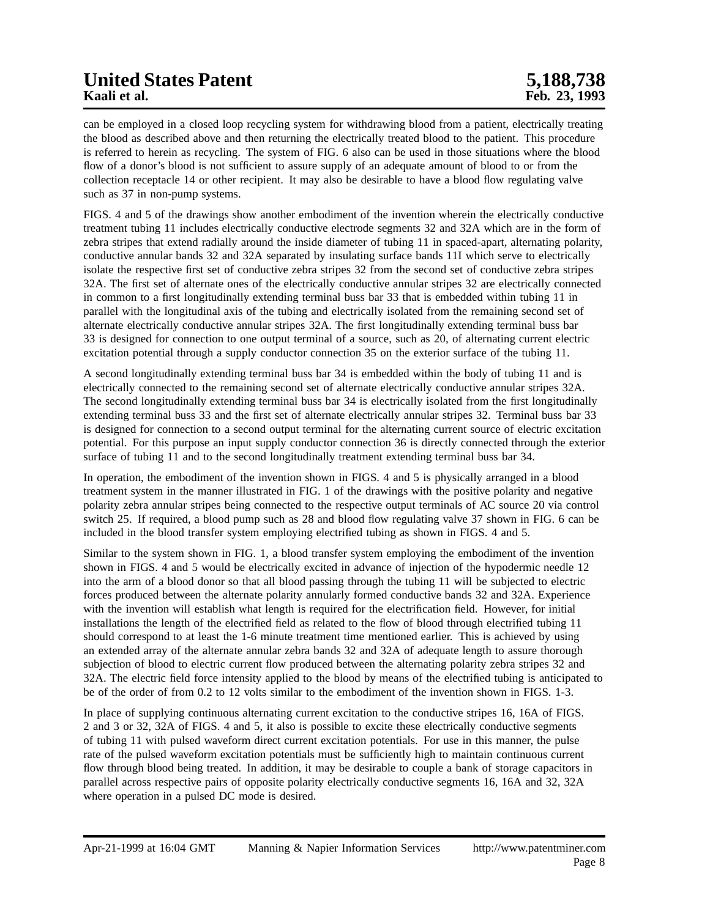# **United States Patent 5,188,738**<br> **Example 18 States Patent 5,188,738**<br>
Feb. 23, 1993

can be employed in a closed loop recycling system for withdrawing blood from a patient, electrically treating the blood as described above and then returning the electrically treated blood to the patient. This procedure is referred to herein as recycling. The system of FIG. 6 also can be used in those situations where the blood flow of a donor's blood is not sufficient to assure supply of an adequate amount of blood to or from the collection receptacle 14 or other recipient. It may also be desirable to have a blood flow regulating valve such as 37 in non-pump systems.

FIGS. 4 and 5 of the drawings show another embodiment of the invention wherein the electrically conductive treatment tubing 11 includes electrically conductive electrode segments 32 and 32A which are in the form of zebra stripes that extend radially around the inside diameter of tubing 11 in spaced-apart, alternating polarity, conductive annular bands 32 and 32A separated by insulating surface bands 11I which serve to electrically isolate the respective first set of conductive zebra stripes 32 from the second set of conductive zebra stripes 32A. The first set of alternate ones of the electrically conductive annular stripes 32 are electrically connected in common to a first longitudinally extending terminal buss bar 33 that is embedded within tubing 11 in parallel with the longitudinal axis of the tubing and electrically isolated from the remaining second set of alternate electrically conductive annular stripes 32A. The first longitudinally extending terminal buss bar 33 is designed for connection to one output terminal of a source, such as 20, of alternating current electric excitation potential through a supply conductor connection 35 on the exterior surface of the tubing 11.

A second longitudinally extending terminal buss bar 34 is embedded within the body of tubing 11 and is electrically connected to the remaining second set of alternate electrically conductive annular stripes 32A. The second longitudinally extending terminal buss bar 34 is electrically isolated from the first longitudinally extending terminal buss 33 and the first set of alternate electrically annular stripes 32. Terminal buss bar 33 is designed for connection to a second output terminal for the alternating current source of electric excitation potential. For this purpose an input supply conductor connection 36 is directly connected through the exterior surface of tubing 11 and to the second longitudinally treatment extending terminal buss bar 34.

In operation, the embodiment of the invention shown in FIGS. 4 and 5 is physically arranged in a blood treatment system in the manner illustrated in FIG. 1 of the drawings with the positive polarity and negative polarity zebra annular stripes being connected to the respective output terminals of AC source 20 via control switch 25. If required, a blood pump such as 28 and blood flow regulating valve 37 shown in FIG. 6 can be included in the blood transfer system employing electrified tubing as shown in FIGS. 4 and 5.

Similar to the system shown in FIG. 1, a blood transfer system employing the embodiment of the invention shown in FIGS. 4 and 5 would be electrically excited in advance of injection of the hypodermic needle 12 into the arm of a blood donor so that all blood passing through the tubing 11 will be subjected to electric forces produced between the alternate polarity annularly formed conductive bands 32 and 32A. Experience with the invention will establish what length is required for the electrification field. However, for initial installations the length of the electrified field as related to the flow of blood through electrified tubing 11 should correspond to at least the 1-6 minute treatment time mentioned earlier. This is achieved by using an extended array of the alternate annular zebra bands 32 and 32A of adequate length to assure thorough subjection of blood to electric current flow produced between the alternating polarity zebra stripes 32 and 32A. The electric field force intensity applied to the blood by means of the electrified tubing is anticipated to be of the order of from 0.2 to 12 volts similar to the embodiment of the invention shown in FIGS. 1-3.

In place of supplying continuous alternating current excitation to the conductive stripes 16, 16A of FIGS. 2 and 3 or 32, 32A of FIGS. 4 and 5, it also is possible to excite these electrically conductive segments of tubing 11 with pulsed waveform direct current excitation potentials. For use in this manner, the pulse rate of the pulsed waveform excitation potentials must be sufficiently high to maintain continuous current flow through blood being treated. In addition, it may be desirable to couple a bank of storage capacitors in parallel across respective pairs of opposite polarity electrically conductive segments 16, 16A and 32, 32A where operation in a pulsed DC mode is desired.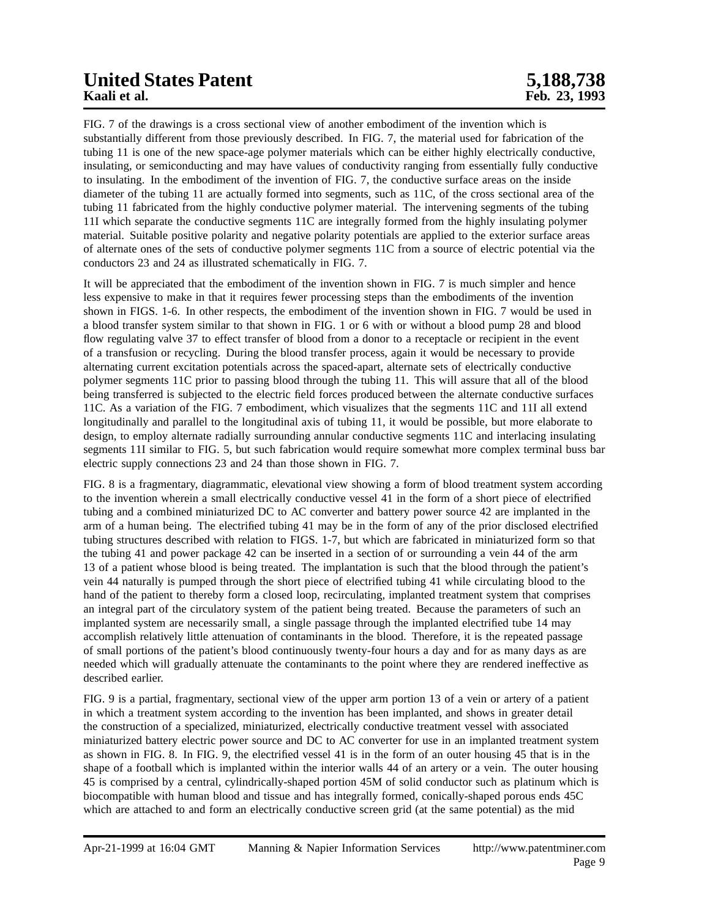# **United States Patent 5,188,738**<br> **Example 18.**<br> **Example 18.**<br> **Example 18.**<br> **Example 18.**<br> **Example 18.**<br> **Example 19.**<br> **Example 19.**<br> **Example 19.**<br> **Example 19.**<br> **Example 19.**

FIG. 7 of the drawings is a cross sectional view of another embodiment of the invention which is substantially different from those previously described. In FIG. 7, the material used for fabrication of the tubing 11 is one of the new space-age polymer materials which can be either highly electrically conductive, insulating, or semiconducting and may have values of conductivity ranging from essentially fully conductive to insulating. In the embodiment of the invention of FIG. 7, the conductive surface areas on the inside diameter of the tubing 11 are actually formed into segments, such as 11C, of the cross sectional area of the tubing 11 fabricated from the highly conductive polymer material. The intervening segments of the tubing 11I which separate the conductive segments 11C are integrally formed from the highly insulating polymer material. Suitable positive polarity and negative polarity potentials are applied to the exterior surface areas of alternate ones of the sets of conductive polymer segments 11C from a source of electric potential via the conductors 23 and 24 as illustrated schematically in FIG. 7.

It will be appreciated that the embodiment of the invention shown in FIG. 7 is much simpler and hence less expensive to make in that it requires fewer processing steps than the embodiments of the invention shown in FIGS. 1-6. In other respects, the embodiment of the invention shown in FIG. 7 would be used in a blood transfer system similar to that shown in FIG. 1 or 6 with or without a blood pump 28 and blood flow regulating valve 37 to effect transfer of blood from a donor to a receptacle or recipient in the event of a transfusion or recycling. During the blood transfer process, again it would be necessary to provide alternating current excitation potentials across the spaced-apart, alternate sets of electrically conductive polymer segments 11C prior to passing blood through the tubing 11. This will assure that all of the blood being transferred is subjected to the electric field forces produced between the alternate conductive surfaces 11C. As a variation of the FIG. 7 embodiment, which visualizes that the segments 11C and 11I all extend longitudinally and parallel to the longitudinal axis of tubing 11, it would be possible, but more elaborate to design, to employ alternate radially surrounding annular conductive segments 11C and interlacing insulating segments 11I similar to FIG. 5, but such fabrication would require somewhat more complex terminal buss bar electric supply connections 23 and 24 than those shown in FIG. 7.

FIG. 8 is a fragmentary, diagrammatic, elevational view showing a form of blood treatment system according to the invention wherein a small electrically conductive vessel 41 in the form of a short piece of electrified tubing and a combined miniaturized DC to AC converter and battery power source 42 are implanted in the arm of a human being. The electrified tubing 41 may be in the form of any of the prior disclosed electrified tubing structures described with relation to FIGS. 1-7, but which are fabricated in miniaturized form so that the tubing 41 and power package 42 can be inserted in a section of or surrounding a vein 44 of the arm 13 of a patient whose blood is being treated. The implantation is such that the blood through the patient's vein 44 naturally is pumped through the short piece of electrified tubing 41 while circulating blood to the hand of the patient to thereby form a closed loop, recirculating, implanted treatment system that comprises an integral part of the circulatory system of the patient being treated. Because the parameters of such an implanted system are necessarily small, a single passage through the implanted electrified tube 14 may accomplish relatively little attenuation of contaminants in the blood. Therefore, it is the repeated passage of small portions of the patient's blood continuously twenty-four hours a day and for as many days as are needed which will gradually attenuate the contaminants to the point where they are rendered ineffective as described earlier.

FIG. 9 is a partial, fragmentary, sectional view of the upper arm portion 13 of a vein or artery of a patient in which a treatment system according to the invention has been implanted, and shows in greater detail the construction of a specialized, miniaturized, electrically conductive treatment vessel with associated miniaturized battery electric power source and DC to AC converter for use in an implanted treatment system as shown in FIG. 8. In FIG. 9, the electrified vessel 41 is in the form of an outer housing 45 that is in the shape of a football which is implanted within the interior walls 44 of an artery or a vein. The outer housing 45 is comprised by a central, cylindrically-shaped portion 45M of solid conductor such as platinum which is biocompatible with human blood and tissue and has integrally formed, conically-shaped porous ends 45C which are attached to and form an electrically conductive screen grid (at the same potential) as the mid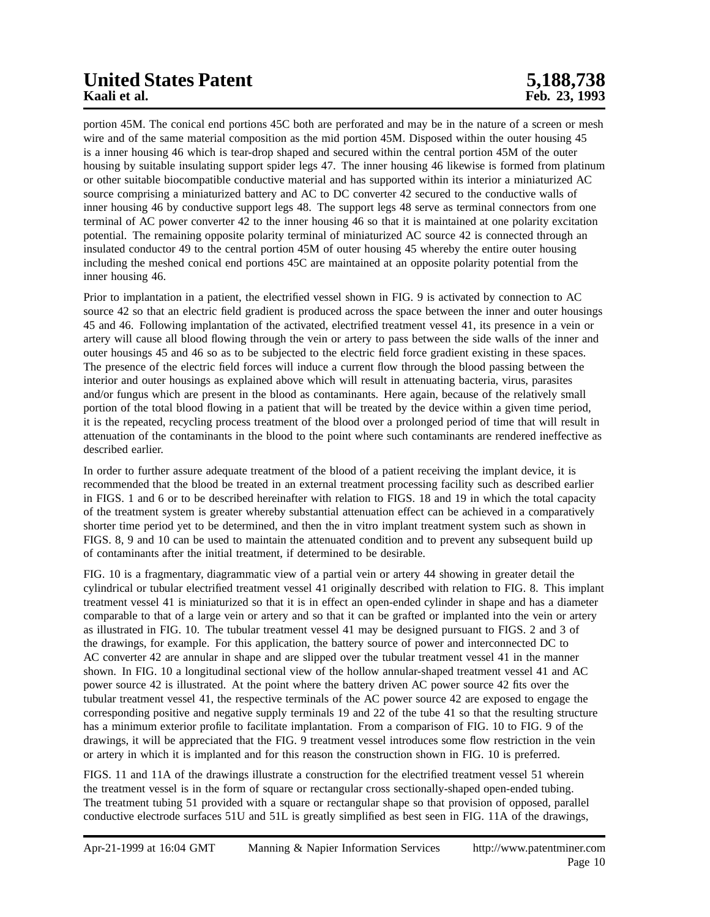# **United States Patent 5,188,738**

portion 45M. The conical end portions 45C both are perforated and may be in the nature of a screen or mesh wire and of the same material composition as the mid portion 45M. Disposed within the outer housing 45 is a inner housing 46 which is tear-drop shaped and secured within the central portion 45M of the outer housing by suitable insulating support spider legs 47. The inner housing 46 likewise is formed from platinum or other suitable biocompatible conductive material and has supported within its interior a miniaturized AC source comprising a miniaturized battery and AC to DC converter 42 secured to the conductive walls of inner housing 46 by conductive support legs 48. The support legs 48 serve as terminal connectors from one terminal of AC power converter 42 to the inner housing 46 so that it is maintained at one polarity excitation potential. The remaining opposite polarity terminal of miniaturized AC source 42 is connected through an insulated conductor 49 to the central portion 45M of outer housing 45 whereby the entire outer housing including the meshed conical end portions 45C are maintained at an opposite polarity potential from the inner housing 46.

Prior to implantation in a patient, the electrified vessel shown in FIG. 9 is activated by connection to AC source 42 so that an electric field gradient is produced across the space between the inner and outer housings 45 and 46. Following implantation of the activated, electrified treatment vessel 41, its presence in a vein or artery will cause all blood flowing through the vein or artery to pass between the side walls of the inner and outer housings 45 and 46 so as to be subjected to the electric field force gradient existing in these spaces. The presence of the electric field forces will induce a current flow through the blood passing between the interior and outer housings as explained above which will result in attenuating bacteria, virus, parasites and/or fungus which are present in the blood as contaminants. Here again, because of the relatively small portion of the total blood flowing in a patient that will be treated by the device within a given time period, it is the repeated, recycling process treatment of the blood over a prolonged period of time that will result in attenuation of the contaminants in the blood to the point where such contaminants are rendered ineffective as described earlier.

In order to further assure adequate treatment of the blood of a patient receiving the implant device, it is recommended that the blood be treated in an external treatment processing facility such as described earlier in FIGS. 1 and 6 or to be described hereinafter with relation to FIGS. 18 and 19 in which the total capacity of the treatment system is greater whereby substantial attenuation effect can be achieved in a comparatively shorter time period yet to be determined, and then the in vitro implant treatment system such as shown in FIGS. 8, 9 and 10 can be used to maintain the attenuated condition and to prevent any subsequent build up of contaminants after the initial treatment, if determined to be desirable.

FIG. 10 is a fragmentary, diagrammatic view of a partial vein or artery 44 showing in greater detail the cylindrical or tubular electrified treatment vessel 41 originally described with relation to FIG. 8. This implant treatment vessel 41 is miniaturized so that it is in effect an open-ended cylinder in shape and has a diameter comparable to that of a large vein or artery and so that it can be grafted or implanted into the vein or artery as illustrated in FIG. 10. The tubular treatment vessel 41 may be designed pursuant to FIGS. 2 and 3 of the drawings, for example. For this application, the battery source of power and interconnected DC to AC converter 42 are annular in shape and are slipped over the tubular treatment vessel 41 in the manner shown. In FIG. 10 a longitudinal sectional view of the hollow annular-shaped treatment vessel 41 and AC power source 42 is illustrated. At the point where the battery driven AC power source 42 fits over the tubular treatment vessel 41, the respective terminals of the AC power source 42 are exposed to engage the corresponding positive and negative supply terminals 19 and 22 of the tube 41 so that the resulting structure has a minimum exterior profile to facilitate implantation. From a comparison of FIG. 10 to FIG. 9 of the drawings, it will be appreciated that the FIG. 9 treatment vessel introduces some flow restriction in the vein or artery in which it is implanted and for this reason the construction shown in FIG. 10 is preferred.

FIGS. 11 and 11A of the drawings illustrate a construction for the electrified treatment vessel 51 wherein the treatment vessel is in the form of square or rectangular cross sectionally-shaped open-ended tubing. The treatment tubing 51 provided with a square or rectangular shape so that provision of opposed, parallel conductive electrode surfaces 51U and 51L is greatly simplified as best seen in FIG. 11A of the drawings,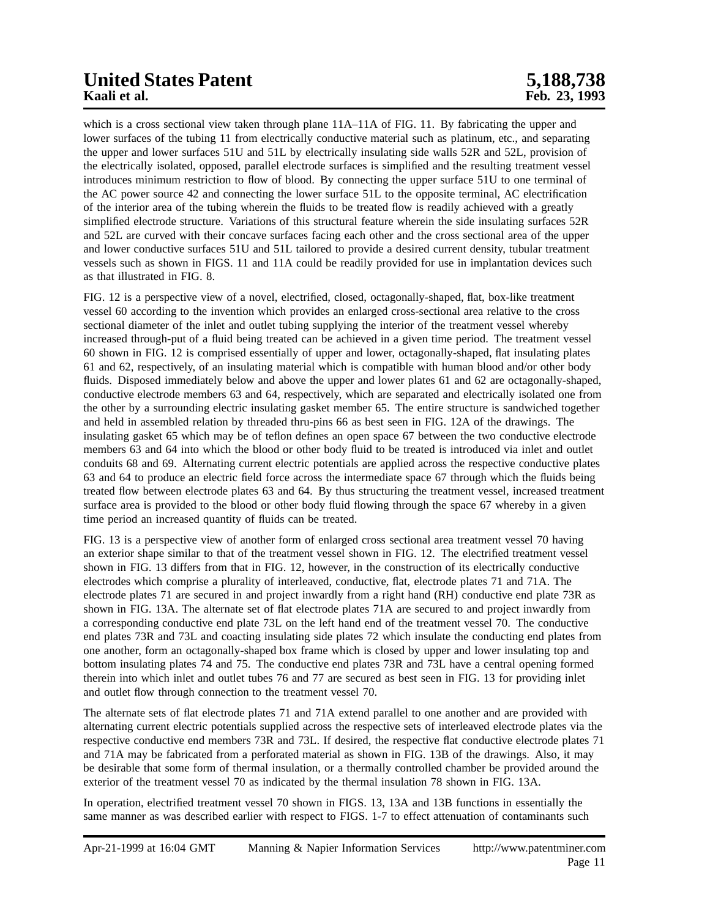# **United States Patent 5,188,738**<br> **Example 18.**<br> **Example 19.**<br> **Example 19.**<br> **Example 19.**<br> **Example 19.**<br> **Example 19.**<br> **Example 19.**<br> **Example 19.**<br> **Example 19.**

which is a cross sectional view taken through plane  $11A-11A$  of FIG. 11. By fabricating the upper and lower surfaces of the tubing 11 from electrically conductive material such as platinum, etc., and separating the upper and lower surfaces 51U and 51L by electrically insulating side walls 52R and 52L, provision of the electrically isolated, opposed, parallel electrode surfaces is simplified and the resulting treatment vessel introduces minimum restriction to flow of blood. By connecting the upper surface 51U to one terminal of the AC power source 42 and connecting the lower surface 51L to the opposite terminal, AC electrification of the interior area of the tubing wherein the fluids to be treated flow is readily achieved with a greatly simplified electrode structure. Variations of this structural feature wherein the side insulating surfaces 52R and 52L are curved with their concave surfaces facing each other and the cross sectional area of the upper and lower conductive surfaces 51U and 51L tailored to provide a desired current density, tubular treatment vessels such as shown in FIGS. 11 and 11A could be readily provided for use in implantation devices such as that illustrated in FIG. 8.

FIG. 12 is a perspective view of a novel, electrified, closed, octagonally-shaped, flat, box-like treatment vessel 60 according to the invention which provides an enlarged cross-sectional area relative to the cross sectional diameter of the inlet and outlet tubing supplying the interior of the treatment vessel whereby increased through-put of a fluid being treated can be achieved in a given time period. The treatment vessel 60 shown in FIG. 12 is comprised essentially of upper and lower, octagonally-shaped, flat insulating plates 61 and 62, respectively, of an insulating material which is compatible with human blood and/or other body fluids. Disposed immediately below and above the upper and lower plates 61 and 62 are octagonally-shaped, conductive electrode members 63 and 64, respectively, which are separated and electrically isolated one from the other by a surrounding electric insulating gasket member 65. The entire structure is sandwiched together and held in assembled relation by threaded thru-pins 66 as best seen in FIG. 12A of the drawings. The insulating gasket 65 which may be of teflon defines an open space 67 between the two conductive electrode members 63 and 64 into which the blood or other body fluid to be treated is introduced via inlet and outlet conduits 68 and 69. Alternating current electric potentials are applied across the respective conductive plates 63 and 64 to produce an electric field force across the intermediate space 67 through which the fluids being treated flow between electrode plates 63 and 64. By thus structuring the treatment vessel, increased treatment surface area is provided to the blood or other body fluid flowing through the space 67 whereby in a given time period an increased quantity of fluids can be treated.

FIG. 13 is a perspective view of another form of enlarged cross sectional area treatment vessel 70 having an exterior shape similar to that of the treatment vessel shown in FIG. 12. The electrified treatment vessel shown in FIG. 13 differs from that in FIG. 12, however, in the construction of its electrically conductive electrodes which comprise a plurality of interleaved, conductive, flat, electrode plates 71 and 71A. The electrode plates 71 are secured in and project inwardly from a right hand (RH) conductive end plate 73R as shown in FIG. 13A. The alternate set of flat electrode plates 71A are secured to and project inwardly from a corresponding conductive end plate 73L on the left hand end of the treatment vessel 70. The conductive end plates 73R and 73L and coacting insulating side plates 72 which insulate the conducting end plates from one another, form an octagonally-shaped box frame which is closed by upper and lower insulating top and bottom insulating plates 74 and 75. The conductive end plates 73R and 73L have a central opening formed therein into which inlet and outlet tubes 76 and 77 are secured as best seen in FIG. 13 for providing inlet and outlet flow through connection to the treatment vessel 70.

The alternate sets of flat electrode plates 71 and 71A extend parallel to one another and are provided with alternating current electric potentials supplied across the respective sets of interleaved electrode plates via the respective conductive end members 73R and 73L. If desired, the respective flat conductive electrode plates 71 and 71A may be fabricated from a perforated material as shown in FIG. 13B of the drawings. Also, it may be desirable that some form of thermal insulation, or a thermally controlled chamber be provided around the exterior of the treatment vessel 70 as indicated by the thermal insulation 78 shown in FIG. 13A.

In operation, electrified treatment vessel 70 shown in FIGS. 13, 13A and 13B functions in essentially the same manner as was described earlier with respect to FIGS. 1-7 to effect attenuation of contaminants such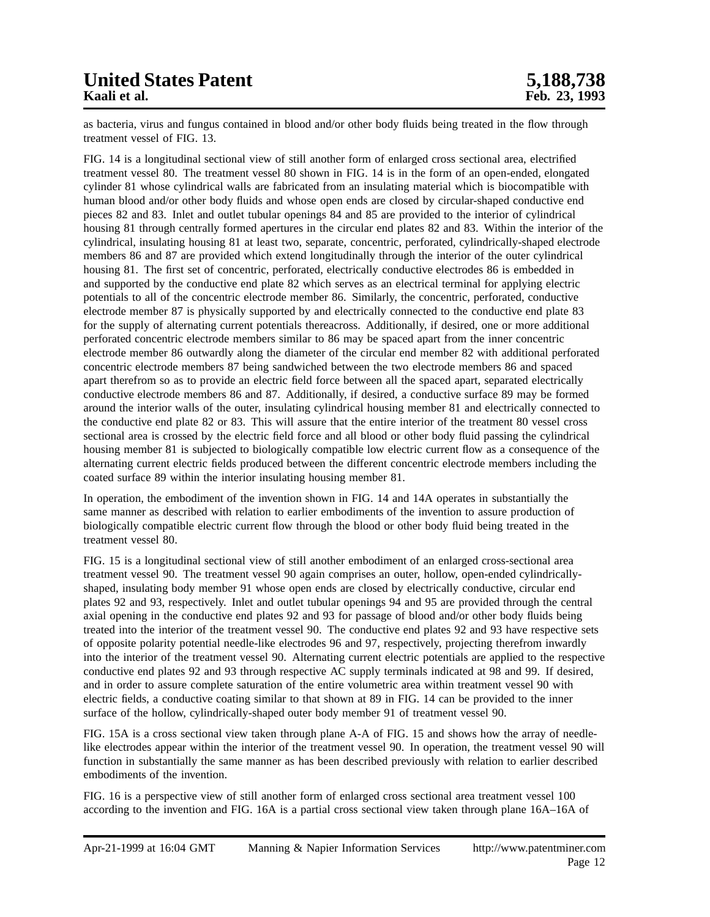## **United States Patent 5,188,738**

as bacteria, virus and fungus contained in blood and/or other body fluids being treated in the flow through treatment vessel of FIG. 13.

FIG. 14 is a longitudinal sectional view of still another form of enlarged cross sectional area, electrified treatment vessel 80. The treatment vessel 80 shown in FIG. 14 is in the form of an open-ended, elongated cylinder 81 whose cylindrical walls are fabricated from an insulating material which is biocompatible with human blood and/or other body fluids and whose open ends are closed by circular-shaped conductive end pieces 82 and 83. Inlet and outlet tubular openings 84 and 85 are provided to the interior of cylindrical housing 81 through centrally formed apertures in the circular end plates 82 and 83. Within the interior of the cylindrical, insulating housing 81 at least two, separate, concentric, perforated, cylindrically-shaped electrode members 86 and 87 are provided which extend longitudinally through the interior of the outer cylindrical housing 81. The first set of concentric, perforated, electrically conductive electrodes 86 is embedded in and supported by the conductive end plate 82 which serves as an electrical terminal for applying electric potentials to all of the concentric electrode member 86. Similarly, the concentric, perforated, conductive electrode member 87 is physically supported by and electrically connected to the conductive end plate 83 for the supply of alternating current potentials thereacross. Additionally, if desired, one or more additional perforated concentric electrode members similar to 86 may be spaced apart from the inner concentric electrode member 86 outwardly along the diameter of the circular end member 82 with additional perforated concentric electrode members 87 being sandwiched between the two electrode members 86 and spaced apart therefrom so as to provide an electric field force between all the spaced apart, separated electrically conductive electrode members 86 and 87. Additionally, if desired, a conductive surface 89 may be formed around the interior walls of the outer, insulating cylindrical housing member 81 and electrically connected to the conductive end plate 82 or 83. This will assure that the entire interior of the treatment 80 vessel cross sectional area is crossed by the electric field force and all blood or other body fluid passing the cylindrical housing member 81 is subjected to biologically compatible low electric current flow as a consequence of the alternating current electric fields produced between the different concentric electrode members including the coated surface 89 within the interior insulating housing member 81.

In operation, the embodiment of the invention shown in FIG. 14 and 14A operates in substantially the same manner as described with relation to earlier embodiments of the invention to assure production of biologically compatible electric current flow through the blood or other body fluid being treated in the treatment vessel 80.

FIG. 15 is a longitudinal sectional view of still another embodiment of an enlarged cross-sectional area treatment vessel 90. The treatment vessel 90 again comprises an outer, hollow, open-ended cylindricallyshaped, insulating body member 91 whose open ends are closed by electrically conductive, circular end plates 92 and 93, respectively. Inlet and outlet tubular openings 94 and 95 are provided through the central axial opening in the conductive end plates 92 and 93 for passage of blood and/or other body fluids being treated into the interior of the treatment vessel 90. The conductive end plates 92 and 93 have respective sets of opposite polarity potential needle-like electrodes 96 and 97, respectively, projecting therefrom inwardly into the interior of the treatment vessel 90. Alternating current electric potentials are applied to the respective conductive end plates 92 and 93 through respective AC supply terminals indicated at 98 and 99. If desired, and in order to assure complete saturation of the entire volumetric area within treatment vessel 90 with electric fields, a conductive coating similar to that shown at 89 in FIG. 14 can be provided to the inner surface of the hollow, cylindrically-shaped outer body member 91 of treatment vessel 90.

FIG. 15A is a cross sectional view taken through plane A-A of FIG. 15 and shows how the array of needlelike electrodes appear within the interior of the treatment vessel 90. In operation, the treatment vessel 90 will function in substantially the same manner as has been described previously with relation to earlier described embodiments of the invention.

FIG. 16 is a perspective view of still another form of enlarged cross sectional area treatment vessel 100 according to the invention and FIG. 16A is a partial cross sectional view taken through plane 16A–16A of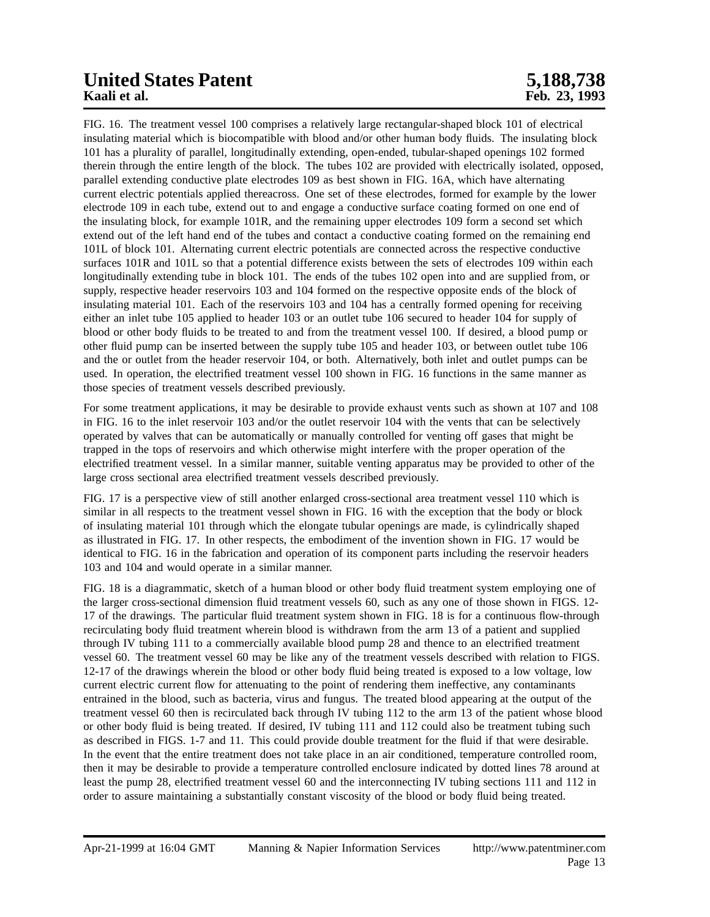# **United States Patent 5,188,738**<br> **Example 18.** Saliet al. **Example 23, 1993**

FIG. 16. The treatment vessel 100 comprises a relatively large rectangular-shaped block 101 of electrical insulating material which is biocompatible with blood and/or other human body fluids. The insulating block 101 has a plurality of parallel, longitudinally extending, open-ended, tubular-shaped openings 102 formed therein through the entire length of the block. The tubes 102 are provided with electrically isolated, opposed, parallel extending conductive plate electrodes 109 as best shown in FIG. 16A, which have alternating current electric potentials applied thereacross. One set of these electrodes, formed for example by the lower electrode 109 in each tube, extend out to and engage a conductive surface coating formed on one end of the insulating block, for example 101R, and the remaining upper electrodes 109 form a second set which extend out of the left hand end of the tubes and contact a conductive coating formed on the remaining end 101L of block 101. Alternating current electric potentials are connected across the respective conductive surfaces 101R and 101L so that a potential difference exists between the sets of electrodes 109 within each longitudinally extending tube in block 101. The ends of the tubes 102 open into and are supplied from, or supply, respective header reservoirs 103 and 104 formed on the respective opposite ends of the block of insulating material 101. Each of the reservoirs 103 and 104 has a centrally formed opening for receiving either an inlet tube 105 applied to header 103 or an outlet tube 106 secured to header 104 for supply of blood or other body fluids to be treated to and from the treatment vessel 100. If desired, a blood pump or other fluid pump can be inserted between the supply tube 105 and header 103, or between outlet tube 106 and the or outlet from the header reservoir 104, or both. Alternatively, both inlet and outlet pumps can be used. In operation, the electrified treatment vessel 100 shown in FIG. 16 functions in the same manner as those species of treatment vessels described previously.

For some treatment applications, it may be desirable to provide exhaust vents such as shown at 107 and 108 in FIG. 16 to the inlet reservoir 103 and/or the outlet reservoir 104 with the vents that can be selectively operated by valves that can be automatically or manually controlled for venting off gases that might be trapped in the tops of reservoirs and which otherwise might interfere with the proper operation of the electrified treatment vessel. In a similar manner, suitable venting apparatus may be provided to other of the large cross sectional area electrified treatment vessels described previously.

FIG. 17 is a perspective view of still another enlarged cross-sectional area treatment vessel 110 which is similar in all respects to the treatment vessel shown in FIG. 16 with the exception that the body or block of insulating material 101 through which the elongate tubular openings are made, is cylindrically shaped as illustrated in FIG. 17. In other respects, the embodiment of the invention shown in FIG. 17 would be identical to FIG. 16 in the fabrication and operation of its component parts including the reservoir headers 103 and 104 and would operate in a similar manner.

FIG. 18 is a diagrammatic, sketch of a human blood or other body fluid treatment system employing one of the larger cross-sectional dimension fluid treatment vessels 60, such as any one of those shown in FIGS. 12- 17 of the drawings. The particular fluid treatment system shown in FIG. 18 is for a continuous flow-through recirculating body fluid treatment wherein blood is withdrawn from the arm 13 of a patient and supplied through IV tubing 111 to a commercially available blood pump 28 and thence to an electrified treatment vessel 60. The treatment vessel 60 may be like any of the treatment vessels described with relation to FIGS. 12-17 of the drawings wherein the blood or other body fluid being treated is exposed to a low voltage, low current electric current flow for attenuating to the point of rendering them ineffective, any contaminants entrained in the blood, such as bacteria, virus and fungus. The treated blood appearing at the output of the treatment vessel 60 then is recirculated back through IV tubing 112 to the arm 13 of the patient whose blood or other body fluid is being treated. If desired, IV tubing 111 and 112 could also be treatment tubing such as described in FIGS. 1-7 and 11. This could provide double treatment for the fluid if that were desirable. In the event that the entire treatment does not take place in an air conditioned, temperature controlled room, then it may be desirable to provide a temperature controlled enclosure indicated by dotted lines 78 around at least the pump 28, electrified treatment vessel 60 and the interconnecting IV tubing sections 111 and 112 in order to assure maintaining a substantially constant viscosity of the blood or body fluid being treated.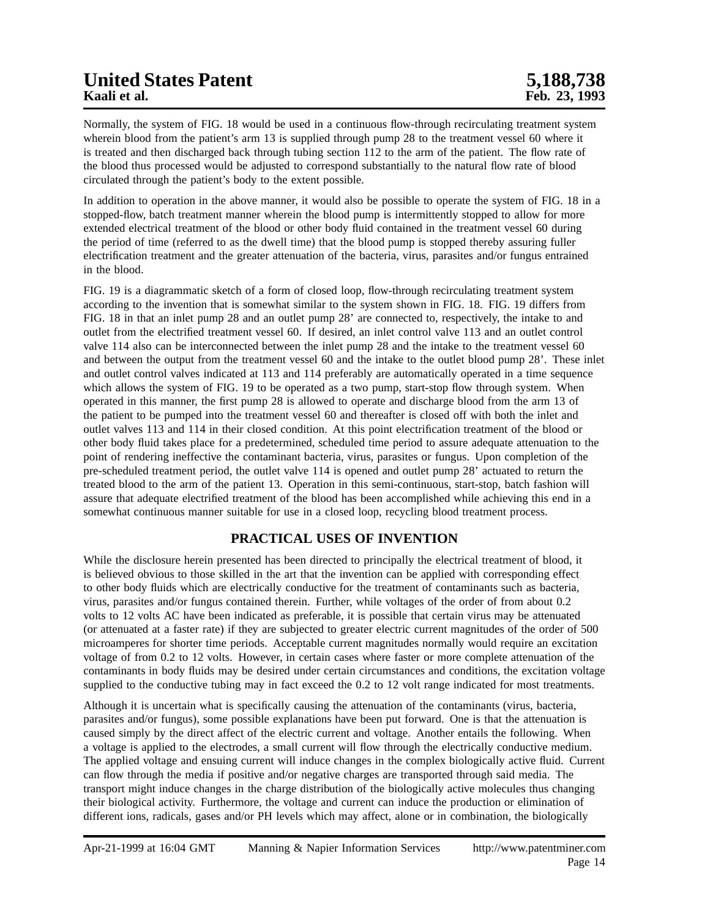Normally, the system of FIG. 18 would be used in a continuous flow-through recirculating treatment system wherein blood from the patient's arm 13 is supplied through pump 28 to the treatment vessel 60 where it is treated and then discharged back through tubing section 112 to the arm of the patient. The flow rate of the blood thus processed would be adjusted to correspond substantially to the natural flow rate of blood circulated through the patient's body to the extent possible.

In addition to operation in the above manner, it would also be possible to operate the system of FIG. 18 in a stopped-flow, batch treatment manner wherein the blood pump is intermittently stopped to allow for more extended electrical treatment of the blood or other body fluid contained in the treatment vessel 60 during the period of time (referred to as the dwell time) that the blood pump is stopped thereby assuring fuller electrification treatment and the greater attenuation of the bacteria, virus, parasites and/or fungus entrained in the blood.

FIG. 19 is a diagrammatic sketch of a form of closed loop, flow-through recirculating treatment system according to the invention that is somewhat similar to the system shown in FIG. 18. FIG. 19 differs from FIG. 18 in that an inlet pump 28 and an outlet pump 28' are connected to, respectively, the intake to and outlet from the electrified treatment vessel 60. If desired, an inlet control valve 113 and an outlet control valve 114 also can be interconnected between the inlet pump 28 and the intake to the treatment vessel 60 and between the output from the treatment vessel 60 and the intake to the outlet blood pump 28'. These inlet and outlet control valves indicated at 113 and 114 preferably are automatically operated in a time sequence which allows the system of FIG. 19 to be operated as a two pump, start-stop flow through system. When operated in this manner, the first pump 28 is allowed to operate and discharge blood from the arm 13 of the patient to be pumped into the treatment vessel 60 and thereafter is closed off with both the inlet and outlet valves 113 and 114 in their closed condition. At this point electrification treatment of the blood or other body fluid takes place for a predetermined, scheduled time period to assure adequate attenuation to the point of rendering ineffective the contaminant bacteria, virus, parasites or fungus. Upon completion of the pre-scheduled treatment period, the outlet valve 114 is opened and outlet pump 28' actuated to return the treated blood to the arm of the patient 13. Operation in this semi-continuous, start-stop, batch fashion will assure that adequate electrified treatment of the blood has been accomplished while achieving this end in a somewhat continuous manner suitable for use in a closed loop, recycling blood treatment process.

### **PRACTICAL USES OF INVENTION**

While the disclosure herein presented has been directed to principally the electrical treatment of blood, it is believed obvious to those skilled in the art that the invention can be applied with corresponding effect to other body fluids which are electrically conductive for the treatment of contaminants such as bacteria, virus, parasites and/or fungus contained therein. Further, while voltages of the order of from about 0.2 volts to 12 volts AC have been indicated as preferable, it is possible that certain virus may be attenuated (or attenuated at a faster rate) if they are subjected to greater electric current magnitudes of the order of 500 microamperes for shorter time periods. Acceptable current magnitudes normally would require an excitation voltage of from 0.2 to 12 volts. However, in certain cases where faster or more complete attenuation of the contaminants in body fluids may be desired under certain circumstances and conditions, the excitation voltage supplied to the conductive tubing may in fact exceed the 0.2 to 12 volt range indicated for most treatments.

Although it is uncertain what is specifically causing the attenuation of the contaminants (virus, bacteria, parasites and/or fungus), some possible explanations have been put forward. One is that the attenuation is caused simply by the direct affect of the electric current and voltage. Another entails the following. When a voltage is applied to the electrodes, a small current will flow through the electrically conductive medium. The applied voltage and ensuing current will induce changes in the complex biologically active fluid. Current can flow through the media if positive and/or negative charges are transported through said media. The transport might induce changes in the charge distribution of the biologically active molecules thus changing their biological activity. Furthermore, the voltage and current can induce the production or elimination of different ions, radicals, gases and/or PH levels which may affect, alone or in combination, the biologically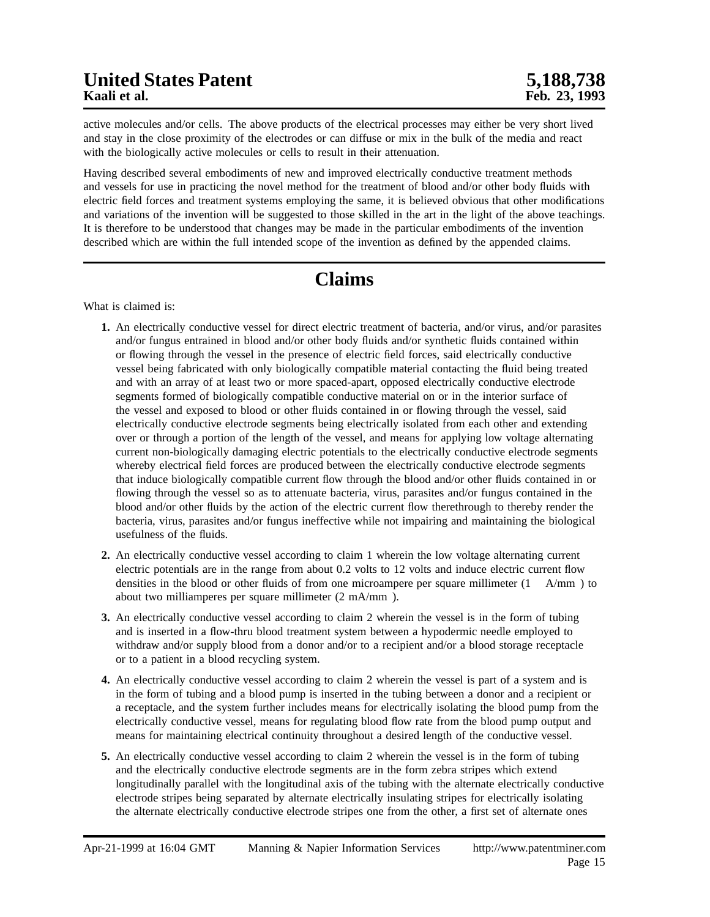active molecules and/or cells. The above products of the electrical processes may either be very short lived and stay in the close proximity of the electrodes or can diffuse or mix in the bulk of the media and react with the biologically active molecules or cells to result in their attenuation.

Having described several embodiments of new and improved electrically conductive treatment methods and vessels for use in practicing the novel method for the treatment of blood and/or other body fluids with electric field forces and treatment systems employing the same, it is believed obvious that other modifications and variations of the invention will be suggested to those skilled in the art in the light of the above teachings. It is therefore to be understood that changes may be made in the particular embodiments of the invention described which are within the full intended scope of the invention as defined by the appended claims.

## **Claims**

What is claimed is:

- **1.** An electrically conductive vessel for direct electric treatment of bacteria, and/or virus, and/or parasites and/or fungus entrained in blood and/or other body fluids and/or synthetic fluids contained within or flowing through the vessel in the presence of electric field forces, said electrically conductive vessel being fabricated with only biologically compatible material contacting the fluid being treated and with an array of at least two or more spaced-apart, opposed electrically conductive electrode segments formed of biologically compatible conductive material on or in the interior surface of the vessel and exposed to blood or other fluids contained in or flowing through the vessel, said electrically conductive electrode segments being electrically isolated from each other and extending over or through a portion of the length of the vessel, and means for applying low voltage alternating current non-biologically damaging electric potentials to the electrically conductive electrode segments whereby electrical field forces are produced between the electrically conductive electrode segments that induce biologically compatible current flow through the blood and/or other fluids contained in or flowing through the vessel so as to attenuate bacteria, virus, parasites and/or fungus contained in the blood and/or other fluids by the action of the electric current flow therethrough to thereby render the bacteria, virus, parasites and/or fungus ineffective while not impairing and maintaining the biological usefulness of the fluids.
- **2.** An electrically conductive vessel according to claim 1 wherein the low voltage alternating current electric potentials are in the range from about 0.2 volts to 12 volts and induce electric current flow densities in the blood or other fluids of from one microampere per square millimeter (1 A/mm ) to about two milliamperes per square millimeter (2 mA/mm ).
- **3.** An electrically conductive vessel according to claim 2 wherein the vessel is in the form of tubing and is inserted in a flow-thru blood treatment system between a hypodermic needle employed to withdraw and/or supply blood from a donor and/or to a recipient and/or a blood storage receptacle or to a patient in a blood recycling system.
- **4.** An electrically conductive vessel according to claim 2 wherein the vessel is part of a system and is in the form of tubing and a blood pump is inserted in the tubing between a donor and a recipient or a receptacle, and the system further includes means for electrically isolating the blood pump from the electrically conductive vessel, means for regulating blood flow rate from the blood pump output and means for maintaining electrical continuity throughout a desired length of the conductive vessel.
- **5.** An electrically conductive vessel according to claim 2 wherein the vessel is in the form of tubing and the electrically conductive electrode segments are in the form zebra stripes which extend longitudinally parallel with the longitudinal axis of the tubing with the alternate electrically conductive electrode stripes being separated by alternate electrically insulating stripes for electrically isolating the alternate electrically conductive electrode stripes one from the other, a first set of alternate ones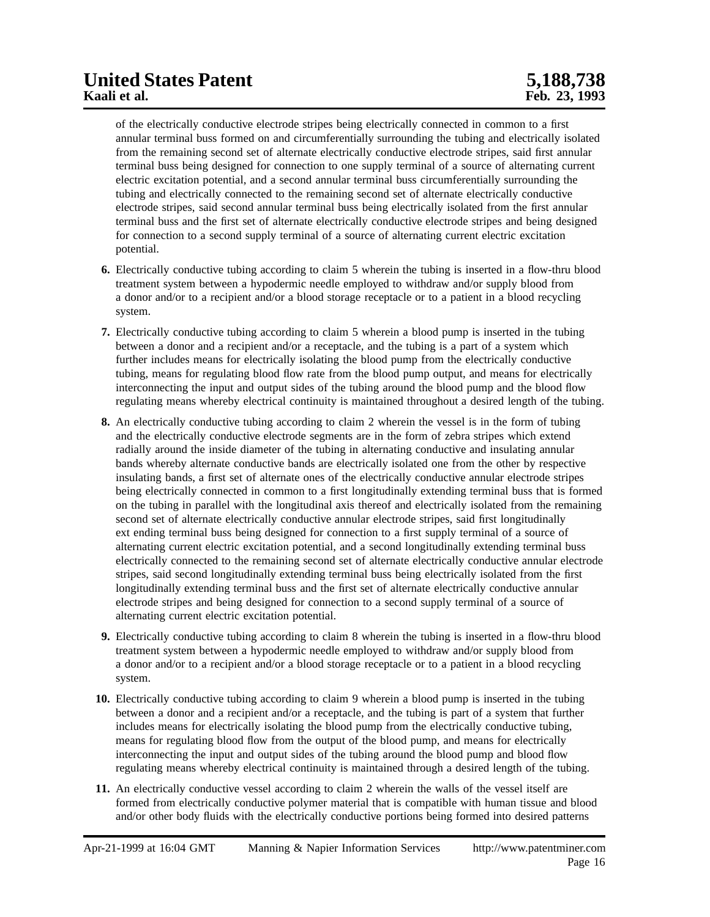of the electrically conductive electrode stripes being electrically connected in common to a first annular terminal buss formed on and circumferentially surrounding the tubing and electrically isolated from the remaining second set of alternate electrically conductive electrode stripes, said first annular terminal buss being designed for connection to one supply terminal of a source of alternating current electric excitation potential, and a second annular terminal buss circumferentially surrounding the tubing and electrically connected to the remaining second set of alternate electrically conductive electrode stripes, said second annular terminal buss being electrically isolated from the first annular terminal buss and the first set of alternate electrically conductive electrode stripes and being designed for connection to a second supply terminal of a source of alternating current electric excitation potential.

- **6.** Electrically conductive tubing according to claim 5 wherein the tubing is inserted in a flow-thru blood treatment system between a hypodermic needle employed to withdraw and/or supply blood from a donor and/or to a recipient and/or a blood storage receptacle or to a patient in a blood recycling system.
- **7.** Electrically conductive tubing according to claim 5 wherein a blood pump is inserted in the tubing between a donor and a recipient and/or a receptacle, and the tubing is a part of a system which further includes means for electrically isolating the blood pump from the electrically conductive tubing, means for regulating blood flow rate from the blood pump output, and means for electrically interconnecting the input and output sides of the tubing around the blood pump and the blood flow regulating means whereby electrical continuity is maintained throughout a desired length of the tubing.
- **8.** An electrically conductive tubing according to claim 2 wherein the vessel is in the form of tubing and the electrically conductive electrode segments are in the form of zebra stripes which extend radially around the inside diameter of the tubing in alternating conductive and insulating annular bands whereby alternate conductive bands are electrically isolated one from the other by respective insulating bands, a first set of alternate ones of the electrically conductive annular electrode stripes being electrically connected in common to a first longitudinally extending terminal buss that is formed on the tubing in parallel with the longitudinal axis thereof and electrically isolated from the remaining second set of alternate electrically conductive annular electrode stripes, said first longitudinally ext ending terminal buss being designed for connection to a first supply terminal of a source of alternating current electric excitation potential, and a second longitudinally extending terminal buss electrically connected to the remaining second set of alternate electrically conductive annular electrode stripes, said second longitudinally extending terminal buss being electrically isolated from the first longitudinally extending terminal buss and the first set of alternate electrically conductive annular electrode stripes and being designed for connection to a second supply terminal of a source of alternating current electric excitation potential.
- **9.** Electrically conductive tubing according to claim 8 wherein the tubing is inserted in a flow-thru blood treatment system between a hypodermic needle employed to withdraw and/or supply blood from a donor and/or to a recipient and/or a blood storage receptacle or to a patient in a blood recycling system.
- **10.** Electrically conductive tubing according to claim 9 wherein a blood pump is inserted in the tubing between a donor and a recipient and/or a receptacle, and the tubing is part of a system that further includes means for electrically isolating the blood pump from the electrically conductive tubing, means for regulating blood flow from the output of the blood pump, and means for electrically interconnecting the input and output sides of the tubing around the blood pump and blood flow regulating means whereby electrical continuity is maintained through a desired length of the tubing.
- **11.** An electrically conductive vessel according to claim 2 wherein the walls of the vessel itself are formed from electrically conductive polymer material that is compatible with human tissue and blood and/or other body fluids with the electrically conductive portions being formed into desired patterns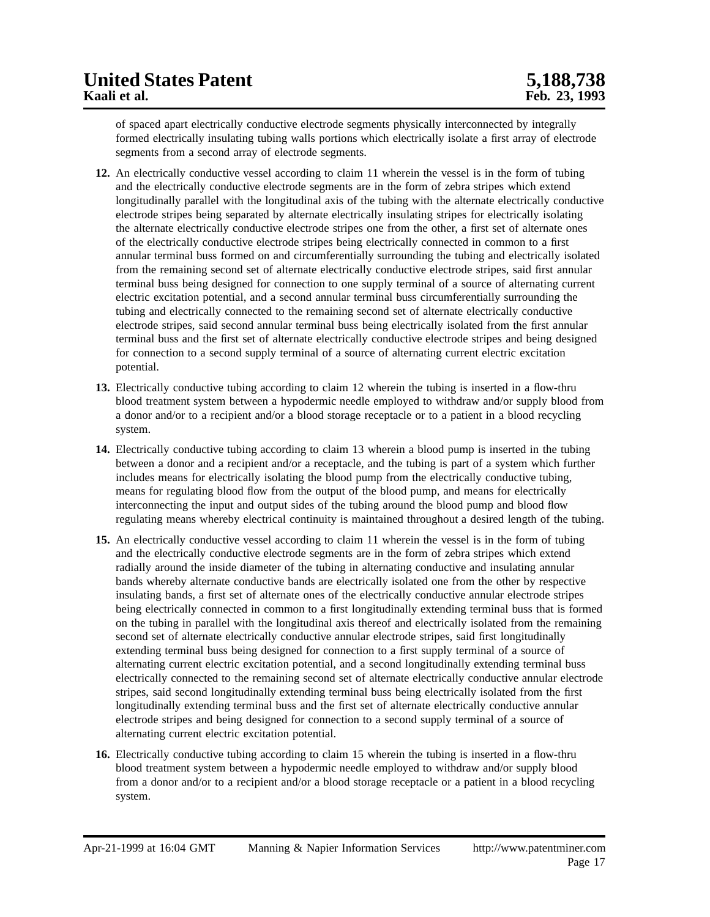of spaced apart electrically conductive electrode segments physically interconnected by integrally formed electrically insulating tubing walls portions which electrically isolate a first array of electrode segments from a second array of electrode segments.

- **12.** An electrically conductive vessel according to claim 11 wherein the vessel is in the form of tubing and the electrically conductive electrode segments are in the form of zebra stripes which extend longitudinally parallel with the longitudinal axis of the tubing with the alternate electrically conductive electrode stripes being separated by alternate electrically insulating stripes for electrically isolating the alternate electrically conductive electrode stripes one from the other, a first set of alternate ones of the electrically conductive electrode stripes being electrically connected in common to a first annular terminal buss formed on and circumferentially surrounding the tubing and electrically isolated from the remaining second set of alternate electrically conductive electrode stripes, said first annular terminal buss being designed for connection to one supply terminal of a source of alternating current electric excitation potential, and a second annular terminal buss circumferentially surrounding the tubing and electrically connected to the remaining second set of alternate electrically conductive electrode stripes, said second annular terminal buss being electrically isolated from the first annular terminal buss and the first set of alternate electrically conductive electrode stripes and being designed for connection to a second supply terminal of a source of alternating current electric excitation potential.
- **13.** Electrically conductive tubing according to claim 12 wherein the tubing is inserted in a flow-thru blood treatment system between a hypodermic needle employed to withdraw and/or supply blood from a donor and/or to a recipient and/or a blood storage receptacle or to a patient in a blood recycling system.
- **14.** Electrically conductive tubing according to claim 13 wherein a blood pump is inserted in the tubing between a donor and a recipient and/or a receptacle, and the tubing is part of a system which further includes means for electrically isolating the blood pump from the electrically conductive tubing, means for regulating blood flow from the output of the blood pump, and means for electrically interconnecting the input and output sides of the tubing around the blood pump and blood flow regulating means whereby electrical continuity is maintained throughout a desired length of the tubing.
- **15.** An electrically conductive vessel according to claim 11 wherein the vessel is in the form of tubing and the electrically conductive electrode segments are in the form of zebra stripes which extend radially around the inside diameter of the tubing in alternating conductive and insulating annular bands whereby alternate conductive bands are electrically isolated one from the other by respective insulating bands, a first set of alternate ones of the electrically conductive annular electrode stripes being electrically connected in common to a first longitudinally extending terminal buss that is formed on the tubing in parallel with the longitudinal axis thereof and electrically isolated from the remaining second set of alternate electrically conductive annular electrode stripes, said first longitudinally extending terminal buss being designed for connection to a first supply terminal of a source of alternating current electric excitation potential, and a second longitudinally extending terminal buss electrically connected to the remaining second set of alternate electrically conductive annular electrode stripes, said second longitudinally extending terminal buss being electrically isolated from the first longitudinally extending terminal buss and the first set of alternate electrically conductive annular electrode stripes and being designed for connection to a second supply terminal of a source of alternating current electric excitation potential.
- **16.** Electrically conductive tubing according to claim 15 wherein the tubing is inserted in a flow-thru blood treatment system between a hypodermic needle employed to withdraw and/or supply blood from a donor and/or to a recipient and/or a blood storage receptacle or a patient in a blood recycling system.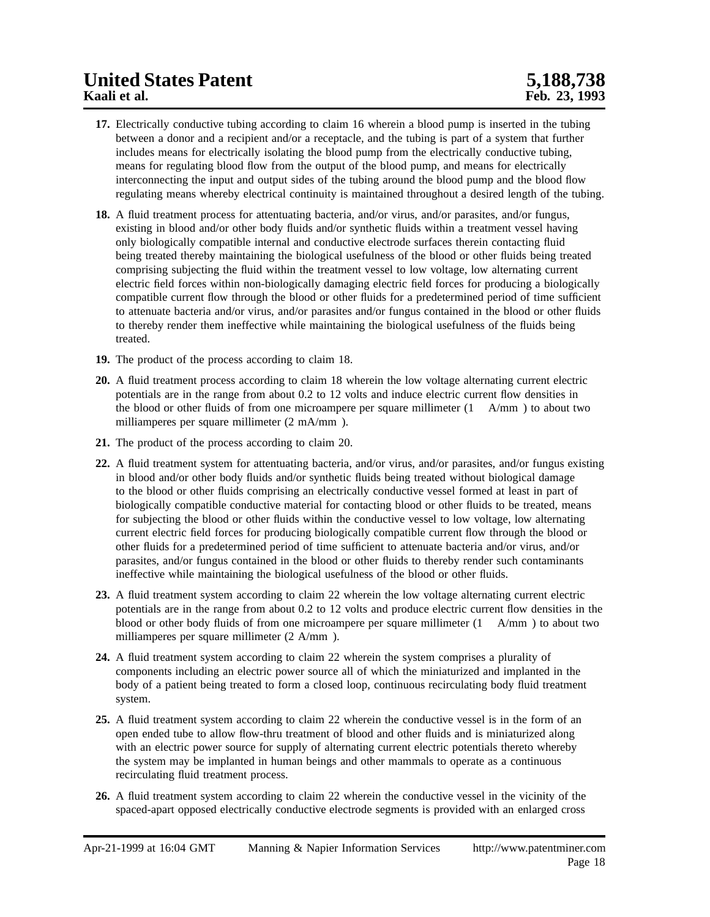- **17.** Electrically conductive tubing according to claim 16 wherein a blood pump is inserted in the tubing between a donor and a recipient and/or a receptacle, and the tubing is part of a system that further includes means for electrically isolating the blood pump from the electrically conductive tubing, means for regulating blood flow from the output of the blood pump, and means for electrically interconnecting the input and output sides of the tubing around the blood pump and the blood flow regulating means whereby electrical continuity is maintained throughout a desired length of the tubing.
- **18.** A fluid treatment process for attentuating bacteria, and/or virus, and/or parasites, and/or fungus, existing in blood and/or other body fluids and/or synthetic fluids within a treatment vessel having only biologically compatible internal and conductive electrode surfaces therein contacting fluid being treated thereby maintaining the biological usefulness of the blood or other fluids being treated comprising subjecting the fluid within the treatment vessel to low voltage, low alternating current electric field forces within non-biologically damaging electric field forces for producing a biologically compatible current flow through the blood or other fluids for a predetermined period of time sufficient to attenuate bacteria and/or virus, and/or parasites and/or fungus contained in the blood or other fluids to thereby render them ineffective while maintaining the biological usefulness of the fluids being treated.
- **19.** The product of the process according to claim 18.
- **20.** A fluid treatment process according to claim 18 wherein the low voltage alternating current electric potentials are in the range from about 0.2 to 12 volts and induce electric current flow densities in the blood or other fluids of from one microampere per square millimeter (1 A/mm ) to about two milliamperes per square millimeter (2 mA/mm ).
- **21.** The product of the process according to claim 20.
- **22.** A fluid treatment system for attentuating bacteria, and/or virus, and/or parasites, and/or fungus existing in blood and/or other body fluids and/or synthetic fluids being treated without biological damage to the blood or other fluids comprising an electrically conductive vessel formed at least in part of biologically compatible conductive material for contacting blood or other fluids to be treated, means for subjecting the blood or other fluids within the conductive vessel to low voltage, low alternating current electric field forces for producing biologically compatible current flow through the blood or other fluids for a predetermined period of time sufficient to attenuate bacteria and/or virus, and/or parasites, and/or fungus contained in the blood or other fluids to thereby render such contaminants ineffective while maintaining the biological usefulness of the blood or other fluids.
- **23.** A fluid treatment system according to claim 22 wherein the low voltage alternating current electric potentials are in the range from about 0.2 to 12 volts and produce electric current flow densities in the blood or other body fluids of from one microampere per square millimeter (1 A/mm ) to about two milliamperes per square millimeter (2 A/mm ).
- **24.** A fluid treatment system according to claim 22 wherein the system comprises a plurality of components including an electric power source all of which the miniaturized and implanted in the body of a patient being treated to form a closed loop, continuous recirculating body fluid treatment system.
- **25.** A fluid treatment system according to claim 22 wherein the conductive vessel is in the form of an open ended tube to allow flow-thru treatment of blood and other fluids and is miniaturized along with an electric power source for supply of alternating current electric potentials thereto whereby the system may be implanted in human beings and other mammals to operate as a continuous recirculating fluid treatment process.
- **26.** A fluid treatment system according to claim 22 wherein the conductive vessel in the vicinity of the spaced-apart opposed electrically conductive electrode segments is provided with an enlarged cross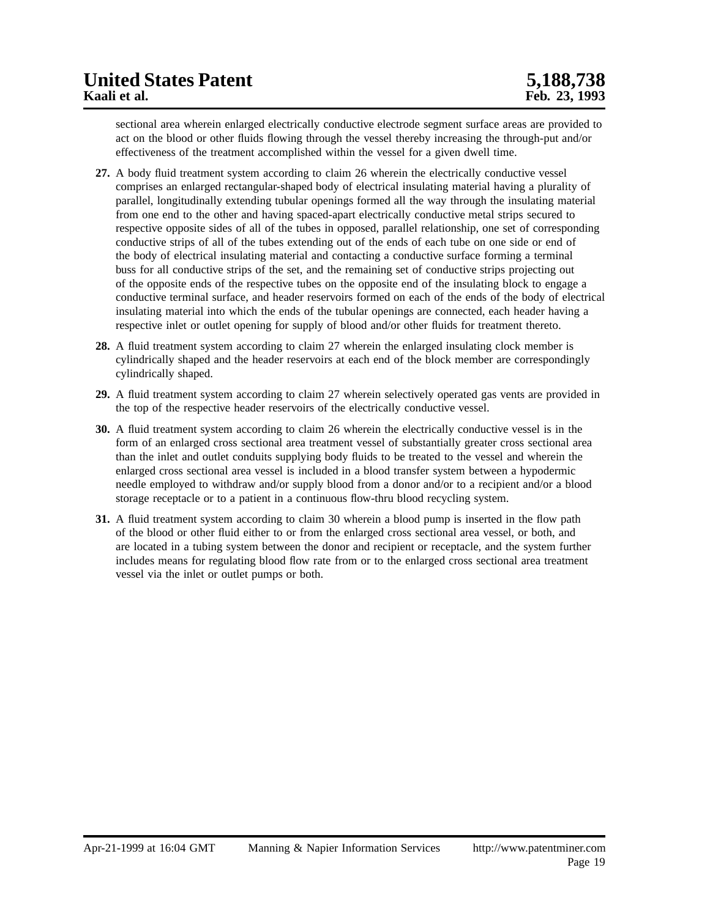sectional area wherein enlarged electrically conductive electrode segment surface areas are provided to act on the blood or other fluids flowing through the vessel thereby increasing the through-put and/or effectiveness of the treatment accomplished within the vessel for a given dwell time.

- **27.** A body fluid treatment system according to claim 26 wherein the electrically conductive vessel comprises an enlarged rectangular-shaped body of electrical insulating material having a plurality of parallel, longitudinally extending tubular openings formed all the way through the insulating material from one end to the other and having spaced-apart electrically conductive metal strips secured to respective opposite sides of all of the tubes in opposed, parallel relationship, one set of corresponding conductive strips of all of the tubes extending out of the ends of each tube on one side or end of the body of electrical insulating material and contacting a conductive surface forming a terminal buss for all conductive strips of the set, and the remaining set of conductive strips projecting out of the opposite ends of the respective tubes on the opposite end of the insulating block to engage a conductive terminal surface, and header reservoirs formed on each of the ends of the body of electrical insulating material into which the ends of the tubular openings are connected, each header having a respective inlet or outlet opening for supply of blood and/or other fluids for treatment thereto.
- **28.** A fluid treatment system according to claim 27 wherein the enlarged insulating clock member is cylindrically shaped and the header reservoirs at each end of the block member are correspondingly cylindrically shaped.
- **29.** A fluid treatment system according to claim 27 wherein selectively operated gas vents are provided in the top of the respective header reservoirs of the electrically conductive vessel.
- **30.** A fluid treatment system according to claim 26 wherein the electrically conductive vessel is in the form of an enlarged cross sectional area treatment vessel of substantially greater cross sectional area than the inlet and outlet conduits supplying body fluids to be treated to the vessel and wherein the enlarged cross sectional area vessel is included in a blood transfer system between a hypodermic needle employed to withdraw and/or supply blood from a donor and/or to a recipient and/or a blood storage receptacle or to a patient in a continuous flow-thru blood recycling system.
- **31.** A fluid treatment system according to claim 30 wherein a blood pump is inserted in the flow path of the blood or other fluid either to or from the enlarged cross sectional area vessel, or both, and are located in a tubing system between the donor and recipient or receptacle, and the system further includes means for regulating blood flow rate from or to the enlarged cross sectional area treatment vessel via the inlet or outlet pumps or both.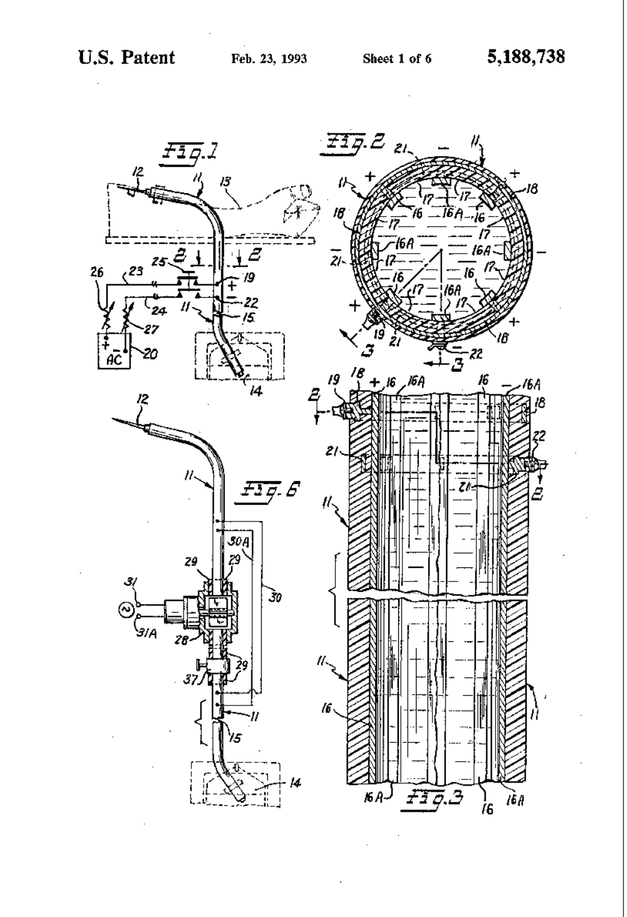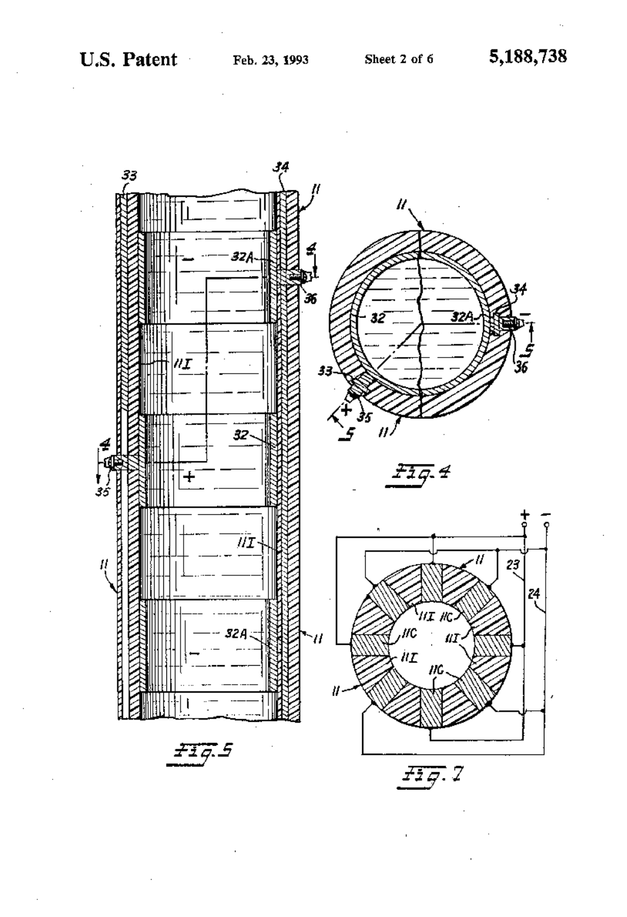

 $\mathcal{A}$ 



 $\bar{\mathbf{r}}$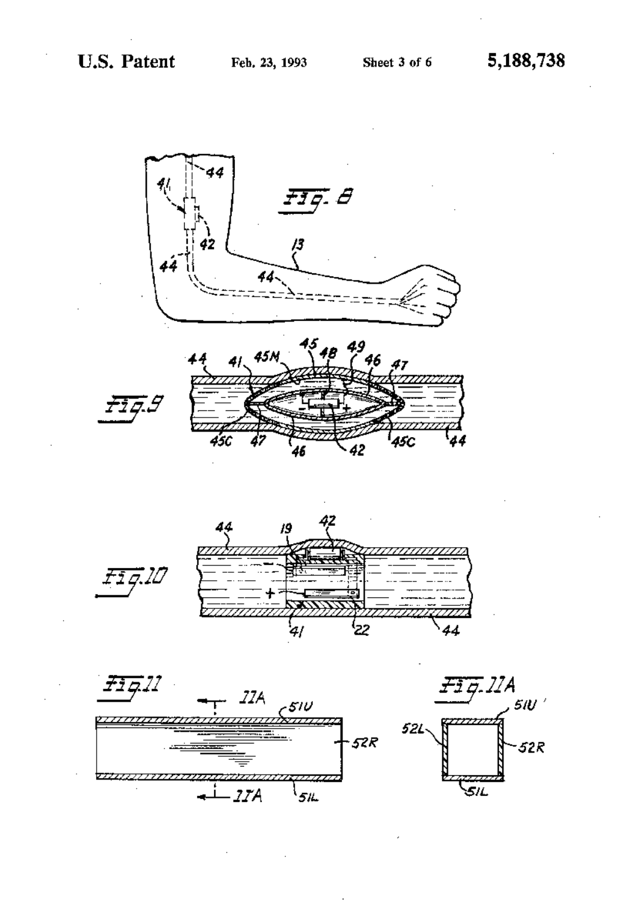÷,









 $\epsilon$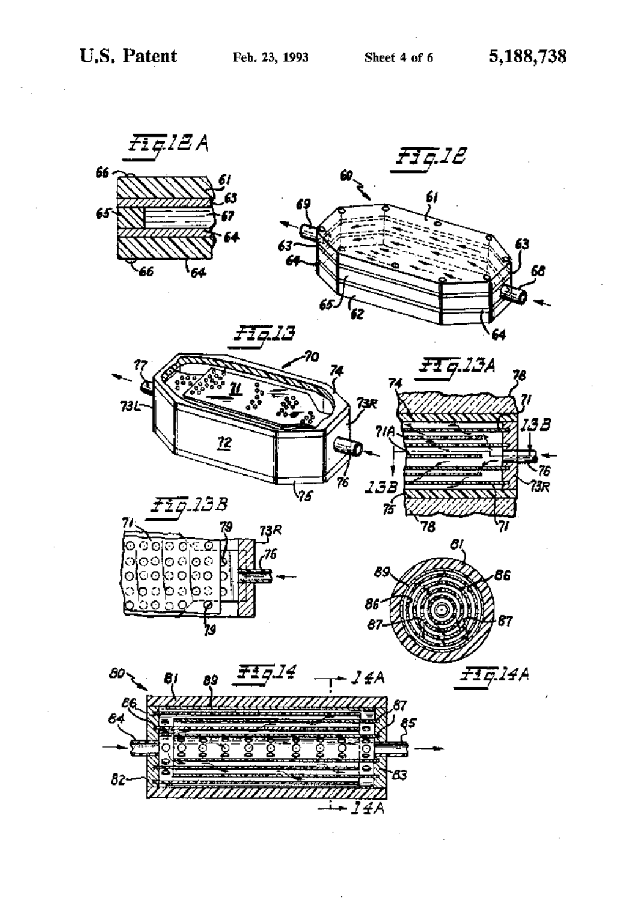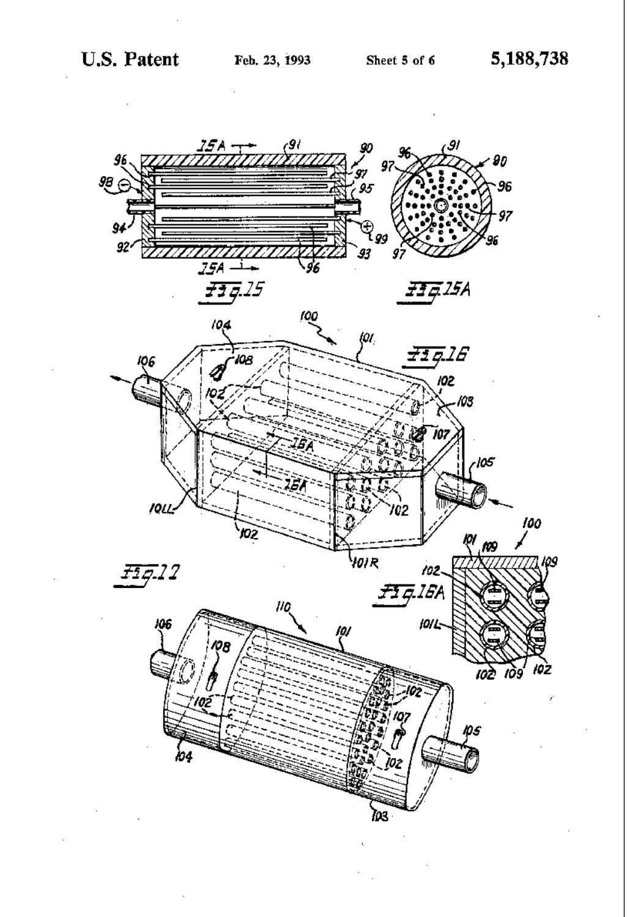